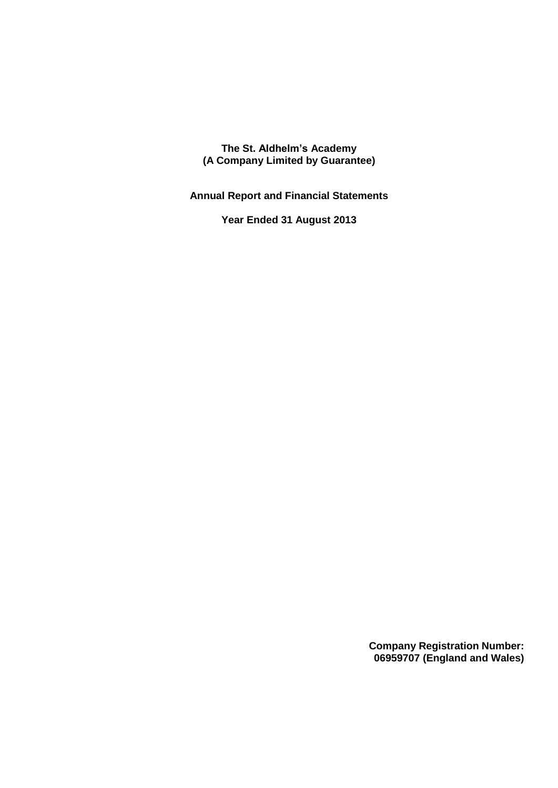**The St. Aldhelm's Academy (A Company Limited by Guarantee)**

**Annual Report and Financial Statements**

**Year Ended 31 August 2013**

**Company Registration Number: 06959707 (England and Wales)**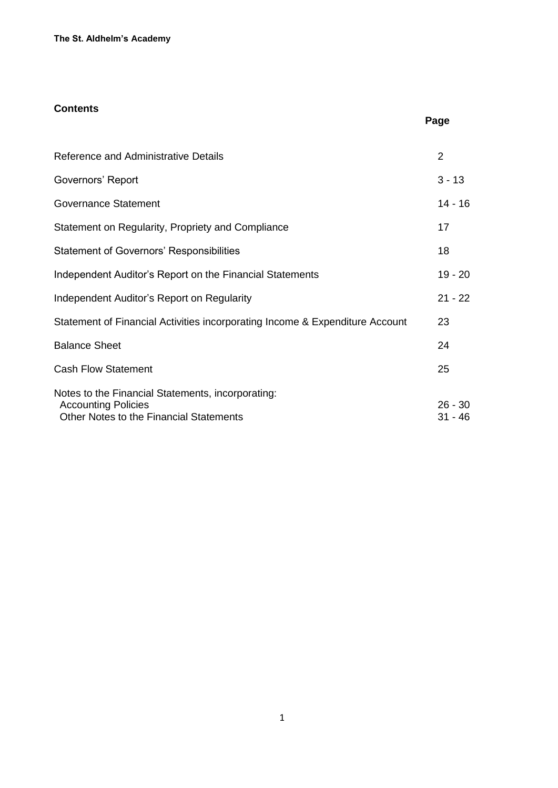## **Contents**

| Reference and Administrative Details                                                                                       | 2                      |
|----------------------------------------------------------------------------------------------------------------------------|------------------------|
| Governors' Report                                                                                                          | $3 - 13$               |
| <b>Governance Statement</b>                                                                                                | $14 - 16$              |
| Statement on Regularity, Propriety and Compliance                                                                          | 17                     |
| <b>Statement of Governors' Responsibilities</b>                                                                            | 18                     |
| Independent Auditor's Report on the Financial Statements                                                                   | $19 - 20$              |
| Independent Auditor's Report on Regularity                                                                                 | $21 - 22$              |
| Statement of Financial Activities incorporating Income & Expenditure Account                                               | 23                     |
| <b>Balance Sheet</b>                                                                                                       | 24                     |
| <b>Cash Flow Statement</b>                                                                                                 | 25                     |
| Notes to the Financial Statements, incorporating:<br><b>Accounting Policies</b><br>Other Notes to the Financial Statements | $26 - 30$<br>$31 - 46$ |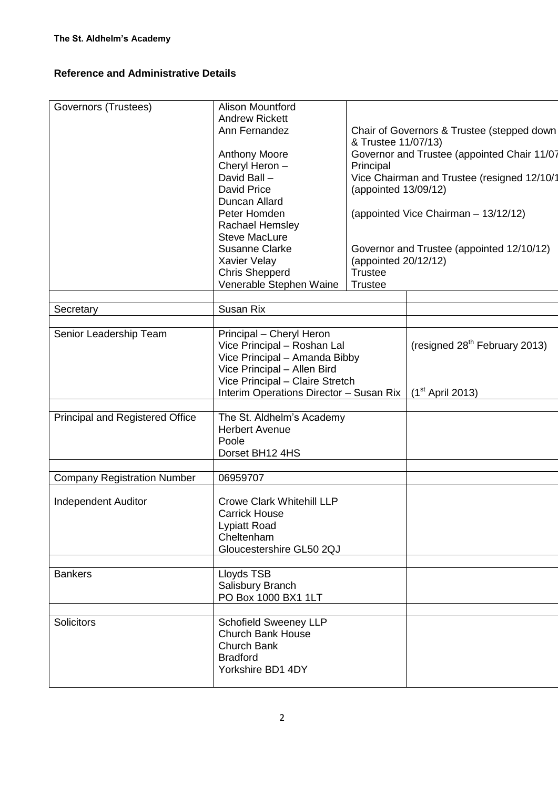## **Reference and Administrative Details**

| Governors (Trustees)               | <b>Alison Mountford</b>                 |                      |                                             |
|------------------------------------|-----------------------------------------|----------------------|---------------------------------------------|
|                                    | <b>Andrew Rickett</b><br>Ann Fernandez  |                      | Chair of Governors & Trustee (stepped down  |
|                                    |                                         | & Trustee 11/07/13)  |                                             |
|                                    | <b>Anthony Moore</b>                    |                      | Governor and Trustee (appointed Chair 11/07 |
|                                    | Cheryl Heron -                          | Principal            |                                             |
|                                    | David Ball -                            |                      | Vice Chairman and Trustee (resigned 12/10/1 |
|                                    | <b>David Price</b>                      | (appointed 13/09/12) |                                             |
|                                    | Duncan Allard                           |                      |                                             |
|                                    | Peter Homden                            |                      | (appointed Vice Chairman - 13/12/12)        |
|                                    | Rachael Hemsley                         |                      |                                             |
|                                    | <b>Steve MacLure</b>                    |                      |                                             |
|                                    | <b>Susanne Clarke</b>                   |                      | Governor and Trustee (appointed 12/10/12)   |
|                                    | Xavier Velay                            | (appointed 20/12/12) |                                             |
|                                    | <b>Chris Shepperd</b>                   | <b>Trustee</b>       |                                             |
|                                    | Venerable Stephen Waine                 | <b>Trustee</b>       |                                             |
|                                    |                                         |                      |                                             |
| Secretary                          | Susan Rix                               |                      |                                             |
| Senior Leadership Team             | Principal - Cheryl Heron                |                      |                                             |
|                                    | Vice Principal - Roshan Lal             |                      | (resigned $28th$ February 2013)             |
|                                    | Vice Principal - Amanda Bibby           |                      |                                             |
|                                    | Vice Principal - Allen Bird             |                      |                                             |
|                                    | Vice Principal - Claire Stretch         |                      |                                             |
|                                    | Interim Operations Director - Susan Rix |                      | $(1st$ April 2013)                          |
|                                    |                                         |                      |                                             |
| Principal and Registered Office    | The St. Aldhelm's Academy               |                      |                                             |
|                                    | <b>Herbert Avenue</b>                   |                      |                                             |
|                                    | Poole                                   |                      |                                             |
|                                    | Dorset BH12 4HS                         |                      |                                             |
|                                    |                                         |                      |                                             |
| <b>Company Registration Number</b> | 06959707                                |                      |                                             |
|                                    |                                         |                      |                                             |
| <b>Independent Auditor</b>         | <b>Crowe Clark Whitehill LLP</b>        |                      |                                             |
|                                    | <b>Carrick House</b>                    |                      |                                             |
|                                    | Lypiatt Road<br>Cheltenham              |                      |                                             |
|                                    | Gloucestershire GL50 2QJ                |                      |                                             |
|                                    |                                         |                      |                                             |
| <b>Bankers</b>                     | Lloyds TSB                              |                      |                                             |
|                                    | Salisbury Branch                        |                      |                                             |
|                                    | PO Box 1000 BX1 1LT                     |                      |                                             |
|                                    |                                         |                      |                                             |
| <b>Solicitors</b>                  | <b>Schofield Sweeney LLP</b>            |                      |                                             |
|                                    | <b>Church Bank House</b>                |                      |                                             |
|                                    | Church Bank                             |                      |                                             |
|                                    | <b>Bradford</b>                         |                      |                                             |
|                                    | Yorkshire BD1 4DY                       |                      |                                             |
|                                    |                                         |                      |                                             |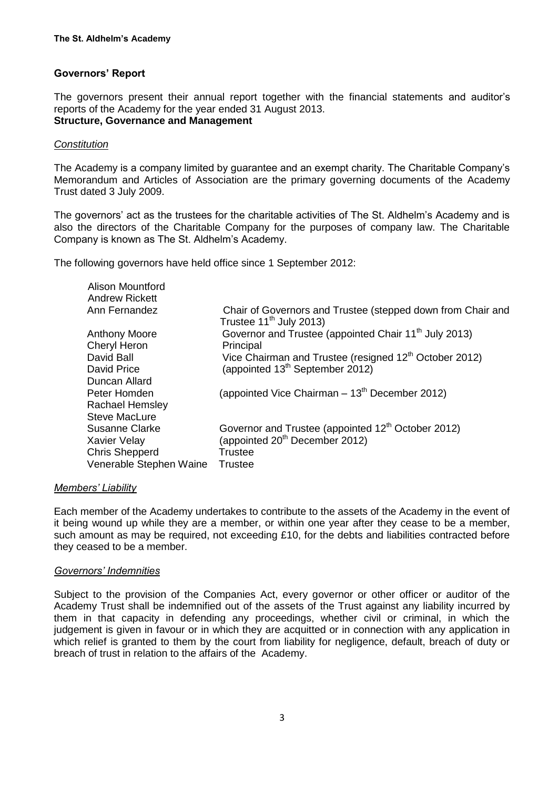## **Governors' Report**

The governors present their annual report together with the financial statements and auditor's reports of the Academy for the year ended 31 August 2013. **Structure, Governance and Management** 

#### *Constitution*

The Academy is a company limited by guarantee and an exempt charity. The Charitable Company's Memorandum and Articles of Association are the primary governing documents of the Academy Trust dated 3 July 2009.

The governors' act as the trustees for the charitable activities of The St. Aldhelm's Academy and is also the directors of the Charitable Company for the purposes of company law. The Charitable Company is known as The St. Aldhelm's Academy.

The following governors have held office since 1 September 2012:

| Chair of Governors and Trustee (stepped down from Chair and<br>Trustee $11^{th}$ July 2013) |
|---------------------------------------------------------------------------------------------|
| Governor and Trustee (appointed Chair 11 <sup>th</sup> July 2013)                           |
| Principal                                                                                   |
| Vice Chairman and Trustee (resigned 12 <sup>th</sup> October 2012)                          |
| (appointed 13 <sup>th</sup> September 2012)                                                 |
|                                                                                             |
| (appointed Vice Chairman $-13th$ December 2012)                                             |
|                                                                                             |
|                                                                                             |
| Governor and Trustee (appointed 12 <sup>th</sup> October 2012)                              |
| (appointed 20 <sup>th</sup> December 2012)                                                  |
| Trustee                                                                                     |
| <b>Trustee</b>                                                                              |
|                                                                                             |

#### *Members' Liability*

Each member of the Academy undertakes to contribute to the assets of the Academy in the event of it being wound up while they are a member, or within one year after they cease to be a member, such amount as may be required, not exceeding £10, for the debts and liabilities contracted before they ceased to be a member.

#### *Governors' Indemnities*

Subject to the provision of the Companies Act, every governor or other officer or auditor of the Academy Trust shall be indemnified out of the assets of the Trust against any liability incurred by them in that capacity in defending any proceedings, whether civil or criminal, in which the judgement is given in favour or in which they are acquitted or in connection with any application in which relief is granted to them by the court from liability for negligence, default, breach of duty or breach of trust in relation to the affairs of the Academy.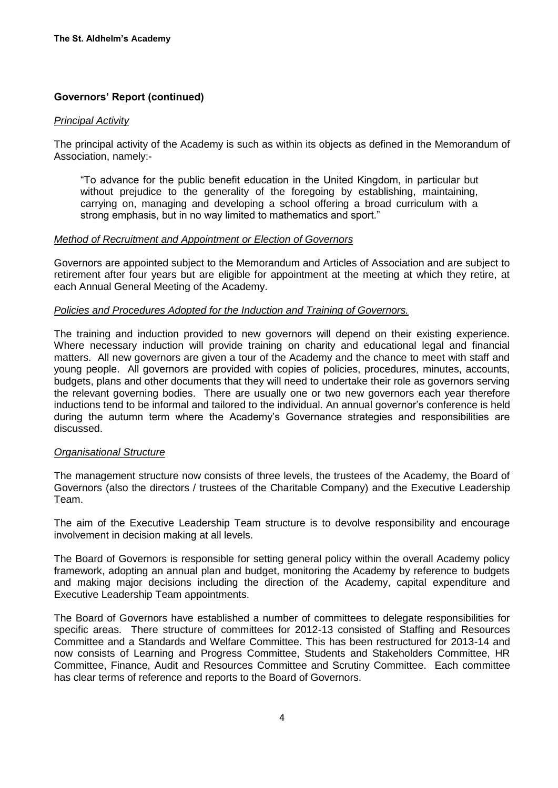#### *Principal Activity*

The principal activity of the Academy is such as within its objects as defined in the Memorandum of Association, namely:-

"To advance for the public benefit education in the United Kingdom, in particular but without prejudice to the generality of the foregoing by establishing, maintaining, carrying on, managing and developing a school offering a broad curriculum with a strong emphasis, but in no way limited to mathematics and sport."

#### *Method of Recruitment and Appointment or Election of Governors*

Governors are appointed subject to the Memorandum and Articles of Association and are subject to retirement after four years but are eligible for appointment at the meeting at which they retire, at each Annual General Meeting of the Academy.

#### *Policies and Procedures Adopted for the Induction and Training of Governors.*

The training and induction provided to new governors will depend on their existing experience. Where necessary induction will provide training on charity and educational legal and financial matters. All new governors are given a tour of the Academy and the chance to meet with staff and young people. All governors are provided with copies of policies, procedures, minutes, accounts, budgets, plans and other documents that they will need to undertake their role as governors serving the relevant governing bodies. There are usually one or two new governors each year therefore inductions tend to be informal and tailored to the individual. An annual governor's conference is held during the autumn term where the Academy's Governance strategies and responsibilities are discussed.

#### *Organisational Structure*

The management structure now consists of three levels, the trustees of the Academy, the Board of Governors (also the directors / trustees of the Charitable Company) and the Executive Leadership Team.

The aim of the Executive Leadership Team structure is to devolve responsibility and encourage involvement in decision making at all levels.

The Board of Governors is responsible for setting general policy within the overall Academy policy framework, adopting an annual plan and budget, monitoring the Academy by reference to budgets and making major decisions including the direction of the Academy, capital expenditure and Executive Leadership Team appointments.

The Board of Governors have established a number of committees to delegate responsibilities for specific areas. There structure of committees for 2012-13 consisted of Staffing and Resources Committee and a Standards and Welfare Committee. This has been restructured for 2013-14 and now consists of Learning and Progress Committee, Students and Stakeholders Committee, HR Committee, Finance, Audit and Resources Committee and Scrutiny Committee. Each committee has clear terms of reference and reports to the Board of Governors.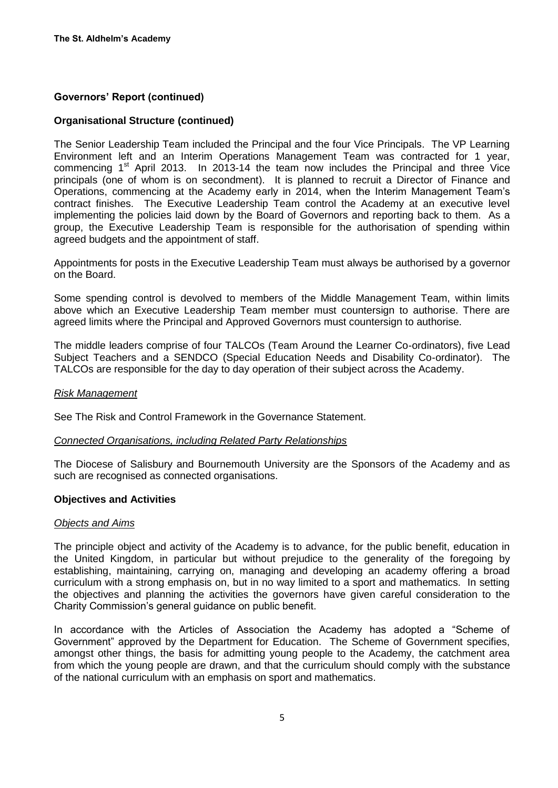#### **Organisational Structure (continued)**

The Senior Leadership Team included the Principal and the four Vice Principals. The VP Learning Environment left and an Interim Operations Management Team was contracted for 1 year, commencing  $1<sup>st</sup>$  April 2013. In 2013-14 the team now includes the Principal and three Vice principals (one of whom is on secondment). It is planned to recruit a Director of Finance and Operations, commencing at the Academy early in 2014, when the Interim Management Team's contract finishes. The Executive Leadership Team control the Academy at an executive level implementing the policies laid down by the Board of Governors and reporting back to them. As a group, the Executive Leadership Team is responsible for the authorisation of spending within agreed budgets and the appointment of staff.

Appointments for posts in the Executive Leadership Team must always be authorised by a governor on the Board.

Some spending control is devolved to members of the Middle Management Team, within limits above which an Executive Leadership Team member must countersign to authorise. There are agreed limits where the Principal and Approved Governors must countersign to authorise.

The middle leaders comprise of four TALCOs (Team Around the Learner Co-ordinators), five Lead Subject Teachers and a SENDCO (Special Education Needs and Disability Co-ordinator). The TALCOs are responsible for the day to day operation of their subject across the Academy.

#### *Risk Management*

See The Risk and Control Framework in the Governance Statement.

#### *Connected Organisations, including Related Party Relationships*

The Diocese of Salisbury and Bournemouth University are the Sponsors of the Academy and as such are recognised as connected organisations.

#### **Objectives and Activities**

#### *Objects and Aims*

The principle object and activity of the Academy is to advance, for the public benefit, education in the United Kingdom, in particular but without prejudice to the generality of the foregoing by establishing, maintaining, carrying on, managing and developing an academy offering a broad curriculum with a strong emphasis on, but in no way limited to a sport and mathematics. In setting the objectives and planning the activities the governors have given careful consideration to the Charity Commission's general guidance on public benefit.

In accordance with the Articles of Association the Academy has adopted a "Scheme of Government" approved by the Department for Education. The Scheme of Government specifies, amongst other things, the basis for admitting young people to the Academy, the catchment area from which the young people are drawn, and that the curriculum should comply with the substance of the national curriculum with an emphasis on sport and mathematics.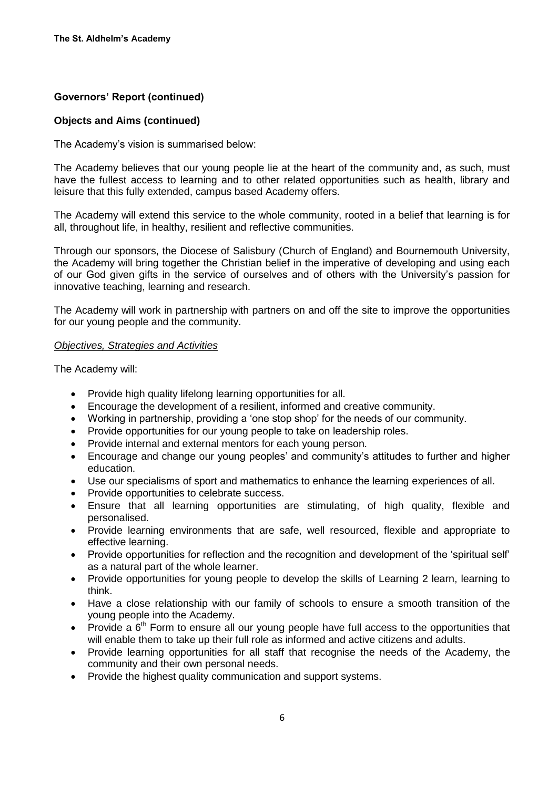### **Objects and Aims (continued)**

The Academy's vision is summarised below:

The Academy believes that our young people lie at the heart of the community and, as such, must have the fullest access to learning and to other related opportunities such as health, library and leisure that this fully extended, campus based Academy offers.

The Academy will extend this service to the whole community, rooted in a belief that learning is for all, throughout life, in healthy, resilient and reflective communities.

Through our sponsors, the Diocese of Salisbury (Church of England) and Bournemouth University, the Academy will bring together the Christian belief in the imperative of developing and using each of our God given gifts in the service of ourselves and of others with the University's passion for innovative teaching, learning and research.

The Academy will work in partnership with partners on and off the site to improve the opportunities for our young people and the community.

#### *Objectives, Strategies and Activities*

The Academy will:

- Provide high quality lifelong learning opportunities for all.
- Encourage the development of a resilient, informed and creative community.
- Working in partnership, providing a 'one stop shop' for the needs of our community.
- Provide opportunities for our young people to take on leadership roles.
- Provide internal and external mentors for each young person.
- Encourage and change our young peoples' and community's attitudes to further and higher education.
- Use our specialisms of sport and mathematics to enhance the learning experiences of all.
- Provide opportunities to celebrate success.
- Ensure that all learning opportunities are stimulating, of high quality, flexible and personalised.
- Provide learning environments that are safe, well resourced, flexible and appropriate to effective learning.
- Provide opportunities for reflection and the recognition and development of the 'spiritual self' as a natural part of the whole learner.
- Provide opportunities for young people to develop the skills of Learning 2 learn, learning to think.
- Have a close relationship with our family of schools to ensure a smooth transition of the young people into the Academy.
- Provide a  $6<sup>th</sup>$  Form to ensure all our young people have full access to the opportunities that will enable them to take up their full role as informed and active citizens and adults.
- Provide learning opportunities for all staff that recognise the needs of the Academy, the community and their own personal needs.
- Provide the highest quality communication and support systems.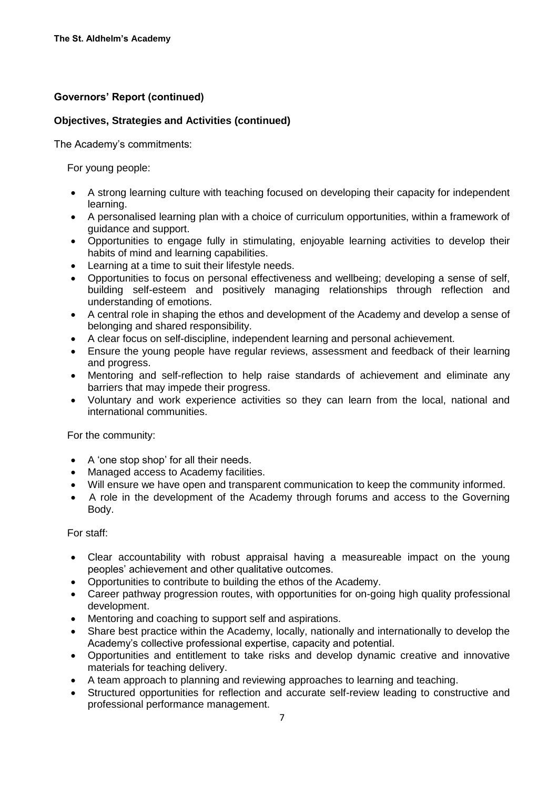## **Objectives, Strategies and Activities (continued)**

The Academy's commitments:

For young people:

- A strong learning culture with teaching focused on developing their capacity for independent learning.
- A personalised learning plan with a choice of curriculum opportunities, within a framework of guidance and support.
- Opportunities to engage fully in stimulating, enjoyable learning activities to develop their habits of mind and learning capabilities.
- Learning at a time to suit their lifestyle needs.
- Opportunities to focus on personal effectiveness and wellbeing; developing a sense of self, building self-esteem and positively managing relationships through reflection and understanding of emotions.
- A central role in shaping the ethos and development of the Academy and develop a sense of belonging and shared responsibility.
- A clear focus on self-discipline, independent learning and personal achievement.
- Ensure the young people have regular reviews, assessment and feedback of their learning and progress.
- Mentoring and self-reflection to help raise standards of achievement and eliminate any barriers that may impede their progress.
- Voluntary and work experience activities so they can learn from the local, national and international communities.

For the community:

- A 'one stop shop' for all their needs.
- Managed access to Academy facilities.
- Will ensure we have open and transparent communication to keep the community informed.
- A role in the development of the Academy through forums and access to the Governing Body.

For staff:

- Clear accountability with robust appraisal having a measureable impact on the young peoples' achievement and other qualitative outcomes.
- Opportunities to contribute to building the ethos of the Academy.
- Career pathway progression routes, with opportunities for on-going high quality professional development.
- Mentoring and coaching to support self and aspirations.
- Share best practice within the Academy, locally, nationally and internationally to develop the Academy's collective professional expertise, capacity and potential.
- Opportunities and entitlement to take risks and develop dynamic creative and innovative materials for teaching delivery.
- A team approach to planning and reviewing approaches to learning and teaching.
- Structured opportunities for reflection and accurate self-review leading to constructive and professional performance management.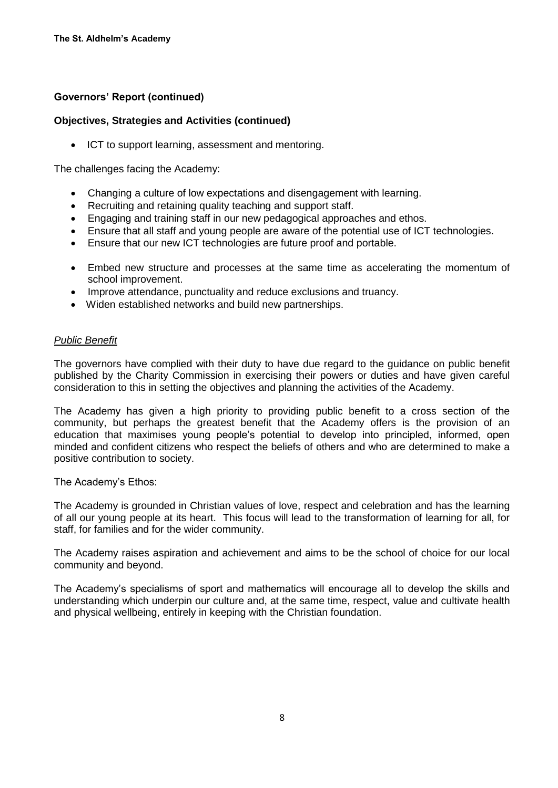### **Objectives, Strategies and Activities (continued)**

• ICT to support learning, assessment and mentoring.

The challenges facing the Academy:

- Changing a culture of low expectations and disengagement with learning.
- Recruiting and retaining quality teaching and support staff.
- Engaging and training staff in our new pedagogical approaches and ethos.
- Ensure that all staff and young people are aware of the potential use of ICT technologies.
- Ensure that our new ICT technologies are future proof and portable.
- Embed new structure and processes at the same time as accelerating the momentum of school improvement.
- Improve attendance, punctuality and reduce exclusions and truancy.
- Widen established networks and build new partnerships.

#### *Public Benefit*

The governors have complied with their duty to have due regard to the guidance on public benefit published by the Charity Commission in exercising their powers or duties and have given careful consideration to this in setting the objectives and planning the activities of the Academy.

The Academy has given a high priority to providing public benefit to a cross section of the community, but perhaps the greatest benefit that the Academy offers is the provision of an education that maximises young people's potential to develop into principled, informed, open minded and confident citizens who respect the beliefs of others and who are determined to make a positive contribution to society.

The Academy's Ethos:

The Academy is grounded in Christian values of love, respect and celebration and has the learning of all our young people at its heart. This focus will lead to the transformation of learning for all, for staff, for families and for the wider community.

The Academy raises aspiration and achievement and aims to be the school of choice for our local community and beyond.

The Academy's specialisms of sport and mathematics will encourage all to develop the skills and understanding which underpin our culture and, at the same time, respect, value and cultivate health and physical wellbeing, entirely in keeping with the Christian foundation.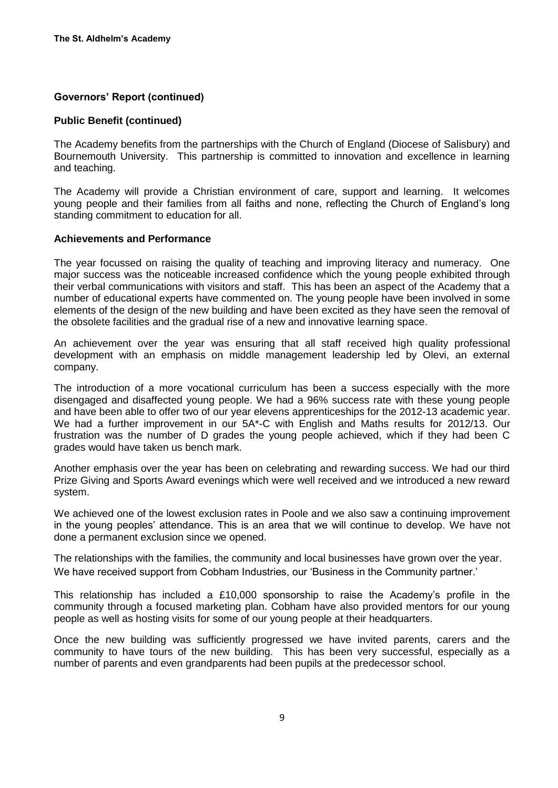#### **Public Benefit (continued)**

The Academy benefits from the partnerships with the Church of England (Diocese of Salisbury) and Bournemouth University. This partnership is committed to innovation and excellence in learning and teaching.

The Academy will provide a Christian environment of care, support and learning. It welcomes young people and their families from all faiths and none, reflecting the Church of England's long standing commitment to education for all.

#### **Achievements and Performance**

The year focussed on raising the quality of teaching and improving literacy and numeracy. One major success was the noticeable increased confidence which the young people exhibited through their verbal communications with visitors and staff. This has been an aspect of the Academy that a number of educational experts have commented on. The young people have been involved in some elements of the design of the new building and have been excited as they have seen the removal of the obsolete facilities and the gradual rise of a new and innovative learning space.

An achievement over the year was ensuring that all staff received high quality professional development with an emphasis on middle management leadership led by Olevi, an external company.

The introduction of a more vocational curriculum has been a success especially with the more disengaged and disaffected young people. We had a 96% success rate with these young people and have been able to offer two of our year elevens apprenticeships for the 2012-13 academic year. We had a further improvement in our 5A\*-C with English and Maths results for 2012/13. Our frustration was the number of D grades the young people achieved, which if they had been C grades would have taken us bench mark.

Another emphasis over the year has been on celebrating and rewarding success. We had our third Prize Giving and Sports Award evenings which were well received and we introduced a new reward system.

We achieved one of the lowest exclusion rates in Poole and we also saw a continuing improvement in the young peoples' attendance. This is an area that we will continue to develop. We have not done a permanent exclusion since we opened.

The relationships with the families, the community and local businesses have grown over the year. We have received support from Cobham Industries, our 'Business in the Community partner.'

This relationship has included a £10,000 sponsorship to raise the Academy's profile in the community through a focused marketing plan. Cobham have also provided mentors for our young people as well as hosting visits for some of our young people at their headquarters.

Once the new building was sufficiently progressed we have invited parents, carers and the community to have tours of the new building. This has been very successful, especially as a number of parents and even grandparents had been pupils at the predecessor school.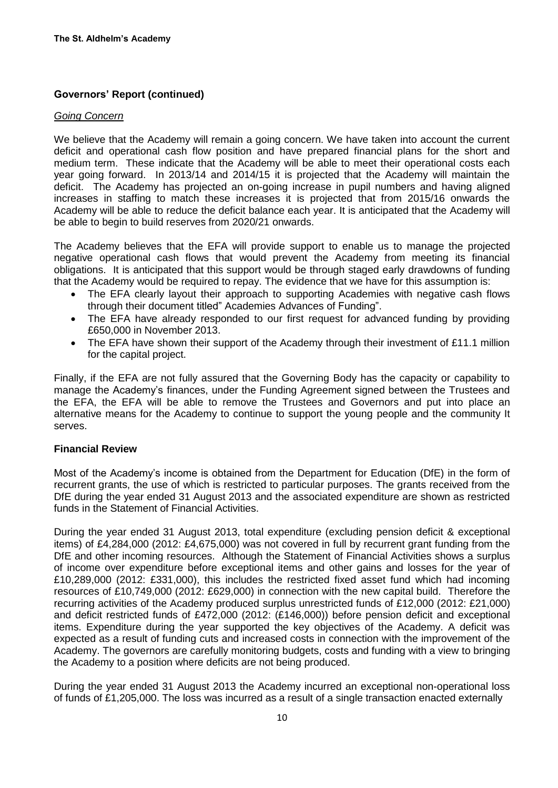#### *Going Concern*

We believe that the Academy will remain a going concern. We have taken into account the current deficit and operational cash flow position and have prepared financial plans for the short and medium term. These indicate that the Academy will be able to meet their operational costs each year going forward. In 2013/14 and 2014/15 it is projected that the Academy will maintain the deficit. The Academy has projected an on-going increase in pupil numbers and having aligned increases in staffing to match these increases it is projected that from 2015/16 onwards the Academy will be able to reduce the deficit balance each year. It is anticipated that the Academy will be able to begin to build reserves from 2020/21 onwards.

The Academy believes that the EFA will provide support to enable us to manage the projected negative operational cash flows that would prevent the Academy from meeting its financial obligations. It is anticipated that this support would be through staged early drawdowns of funding that the Academy would be required to repay. The evidence that we have for this assumption is:

- The EFA clearly layout their approach to supporting Academies with negative cash flows through their document titled" Academies Advances of Funding".
- The EFA have already responded to our first request for advanced funding by providing £650,000 in November 2013.
- The EFA have shown their support of the Academy through their investment of £11.1 million for the capital project.

Finally, if the EFA are not fully assured that the Governing Body has the capacity or capability to manage the Academy's finances, under the Funding Agreement signed between the Trustees and the EFA, the EFA will be able to remove the Trustees and Governors and put into place an alternative means for the Academy to continue to support the young people and the community It serves.

#### **Financial Review**

Most of the Academy's income is obtained from the Department for Education (DfE) in the form of recurrent grants, the use of which is restricted to particular purposes. The grants received from the DfE during the year ended 31 August 2013 and the associated expenditure are shown as restricted funds in the Statement of Financial Activities.

During the year ended 31 August 2013, total expenditure (excluding pension deficit & exceptional items) of £4,284,000 (2012: £4,675,000) was not covered in full by recurrent grant funding from the DfE and other incoming resources. Although the Statement of Financial Activities shows a surplus of income over expenditure before exceptional items and other gains and losses for the year of £10,289,000 (2012: £331,000), this includes the restricted fixed asset fund which had incoming resources of £10,749,000 (2012: £629,000) in connection with the new capital build. Therefore the recurring activities of the Academy produced surplus unrestricted funds of £12,000 (2012: £21,000) and deficit restricted funds of £472,000 (2012: (£146,000)) before pension deficit and exceptional items. Expenditure during the year supported the key objectives of the Academy. A deficit was expected as a result of funding cuts and increased costs in connection with the improvement of the Academy. The governors are carefully monitoring budgets, costs and funding with a view to bringing the Academy to a position where deficits are not being produced.

During the year ended 31 August 2013 the Academy incurred an exceptional non-operational loss of funds of £1,205,000. The loss was incurred as a result of a single transaction enacted externally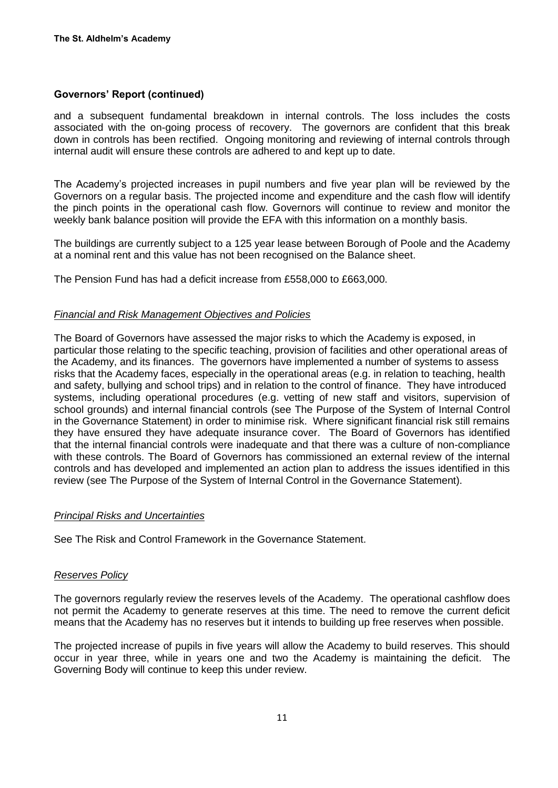and a subsequent fundamental breakdown in internal controls. The loss includes the costs associated with the on-going process of recovery. The governors are confident that this break down in controls has been rectified. Ongoing monitoring and reviewing of internal controls through internal audit will ensure these controls are adhered to and kept up to date.

The Academy's projected increases in pupil numbers and five year plan will be reviewed by the Governors on a regular basis. The projected income and expenditure and the cash flow will identify the pinch points in the operational cash flow. Governors will continue to review and monitor the weekly bank balance position will provide the EFA with this information on a monthly basis.

The buildings are currently subject to a 125 year lease between Borough of Poole and the Academy at a nominal rent and this value has not been recognised on the Balance sheet.

The Pension Fund has had a deficit increase from £558,000 to £663,000.

#### *Financial and Risk Management Objectives and Policies*

The Board of Governors have assessed the major risks to which the Academy is exposed, in particular those relating to the specific teaching, provision of facilities and other operational areas of the Academy, and its finances. The governors have implemented a number of systems to assess risks that the Academy faces, especially in the operational areas (e.g. in relation to teaching, health and safety, bullying and school trips) and in relation to the control of finance. They have introduced systems, including operational procedures (e.g. vetting of new staff and visitors, supervision of school grounds) and internal financial controls (see The Purpose of the System of Internal Control in the Governance Statement) in order to minimise risk. Where significant financial risk still remains they have ensured they have adequate insurance cover. The Board of Governors has identified that the internal financial controls were inadequate and that there was a culture of non-compliance with these controls. The Board of Governors has commissioned an external review of the internal controls and has developed and implemented an action plan to address the issues identified in this review (see The Purpose of the System of Internal Control in the Governance Statement).

#### *Principal Risks and Uncertainties*

See The Risk and Control Framework in the Governance Statement.

#### *Reserves Policy*

The governors regularly review the reserves levels of the Academy. The operational cashflow does not permit the Academy to generate reserves at this time. The need to remove the current deficit means that the Academy has no reserves but it intends to building up free reserves when possible.

The projected increase of pupils in five years will allow the Academy to build reserves. This should occur in year three, while in years one and two the Academy is maintaining the deficit. The Governing Body will continue to keep this under review.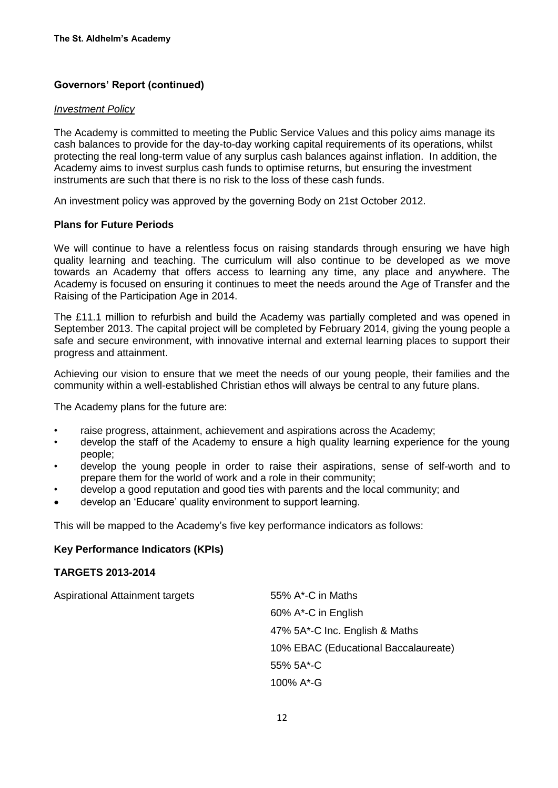### *Investment Policy*

The Academy is committed to meeting the Public Service Values and this policy aims manage its cash balances to provide for the day-to-day working capital requirements of its operations, whilst protecting the real long-term value of any surplus cash balances against inflation. In addition, the Academy aims to invest surplus cash funds to optimise returns, but ensuring the investment instruments are such that there is no risk to the loss of these cash funds.

An investment policy was approved by the governing Body on 21st October 2012.

## **Plans for Future Periods**

We will continue to have a relentless focus on raising standards through ensuring we have high quality learning and teaching. The curriculum will also continue to be developed as we move towards an Academy that offers access to learning any time, any place and anywhere. The Academy is focused on ensuring it continues to meet the needs around the Age of Transfer and the Raising of the Participation Age in 2014.

The £11.1 million to refurbish and build the Academy was partially completed and was opened in September 2013. The capital project will be completed by February 2014, giving the young people a safe and secure environment, with innovative internal and external learning places to support their progress and attainment.

Achieving our vision to ensure that we meet the needs of our young people, their families and the community within a well-established Christian ethos will always be central to any future plans.

The Academy plans for the future are:

- raise progress, attainment, achievement and aspirations across the Academy;
- develop the staff of the Academy to ensure a high quality learning experience for the young people;
- develop the young people in order to raise their aspirations, sense of self-worth and to prepare them for the world of work and a role in their community;
- develop a good reputation and good ties with parents and the local community; and
- develop an 'Educare' quality environment to support learning.

This will be mapped to the Academy's five key performance indicators as follows:

## **Key Performance Indicators (KPIs)**

## **TARGETS 2013-2014**

| <b>Aspirational Attainment targets</b> | 55% A*-C in Maths                    |
|----------------------------------------|--------------------------------------|
|                                        | 60% A*-C in English                  |
|                                        | 47% 5A*-C Inc. English & Maths       |
|                                        | 10% EBAC (Educational Baccalaureate) |
|                                        | 55% 5A*-C                            |
|                                        | 100% A*-G                            |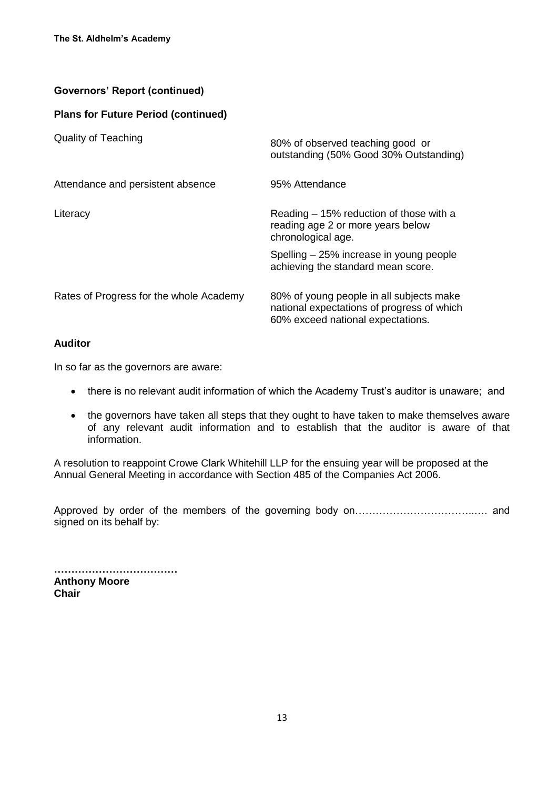## **Plans for Future Period (continued)**

| <b>Quality of Teaching</b>              | 80% of observed teaching good or<br>outstanding (50% Good 30% Outstanding)                                                  |
|-----------------------------------------|-----------------------------------------------------------------------------------------------------------------------------|
| Attendance and persistent absence       | 95% Attendance                                                                                                              |
| Literacy                                | Reading – 15% reduction of those with a<br>reading age 2 or more years below<br>chronological age.                          |
|                                         | Spelling – 25% increase in young people<br>achieving the standard mean score.                                               |
| Rates of Progress for the whole Academy | 80% of young people in all subjects make<br>national expectations of progress of which<br>60% exceed national expectations. |

## **Auditor**

In so far as the governors are aware:

- there is no relevant audit information of which the Academy Trust's auditor is unaware; and
- the governors have taken all steps that they ought to have taken to make themselves aware of any relevant audit information and to establish that the auditor is aware of that information.

A resolution to reappoint Crowe Clark Whitehill LLP for the ensuing year will be proposed at the Annual General Meeting in accordance with Section 485 of the Companies Act 2006.

Approved by order of the members of the governing body on……………………………..…. and signed on its behalf by:

**……………………………… Anthony Moore Chair**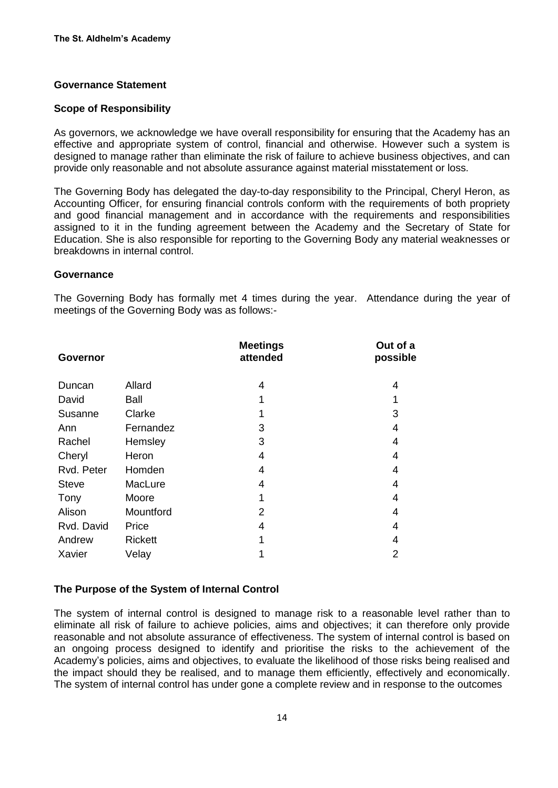### **Governance Statement**

#### **Scope of Responsibility**

As governors, we acknowledge we have overall responsibility for ensuring that the Academy has an effective and appropriate system of control, financial and otherwise. However such a system is designed to manage rather than eliminate the risk of failure to achieve business objectives, and can provide only reasonable and not absolute assurance against material misstatement or loss.

The Governing Body has delegated the day-to-day responsibility to the Principal, Cheryl Heron, as Accounting Officer, for ensuring financial controls conform with the requirements of both propriety and good financial management and in accordance with the requirements and responsibilities assigned to it in the funding agreement between the Academy and the Secretary of State for Education. She is also responsible for reporting to the Governing Body any material weaknesses or breakdowns in internal control.

#### **Governance**

The Governing Body has formally met 4 times during the year. Attendance during the year of meetings of the Governing Body was as follows:-

| <b>Governor</b> |                | <b>Meetings</b><br>attended | Out of a<br>possible |
|-----------------|----------------|-----------------------------|----------------------|
| Duncan          | Allard         | 4                           | 4                    |
| David           | Ball           | 1                           |                      |
| Susanne         | Clarke         |                             | 3                    |
| Ann             | Fernandez      | 3                           | 4                    |
| Rachel          | Hemsley        | 3                           | 4                    |
| Cheryl          | Heron          | 4                           | 4                    |
| Rvd. Peter      | Homden         | 4                           | 4                    |
| <b>Steve</b>    | MacLure        | 4                           | 4                    |
| Tony            | Moore          |                             | 4                    |
| Alison          | Mountford      | 2                           | 4                    |
| Rvd. David      | Price          | 4                           | 4                    |
| Andrew          | <b>Rickett</b> |                             | 4                    |
| Xavier          | Velay          |                             | $\overline{2}$       |

#### **The Purpose of the System of Internal Control**

The system of internal control is designed to manage risk to a reasonable level rather than to eliminate all risk of failure to achieve policies, aims and objectives; it can therefore only provide reasonable and not absolute assurance of effectiveness. The system of internal control is based on an ongoing process designed to identify and prioritise the risks to the achievement of the Academy's policies, aims and objectives, to evaluate the likelihood of those risks being realised and the impact should they be realised, and to manage them efficiently, effectively and economically. The system of internal control has under gone a complete review and in response to the outcomes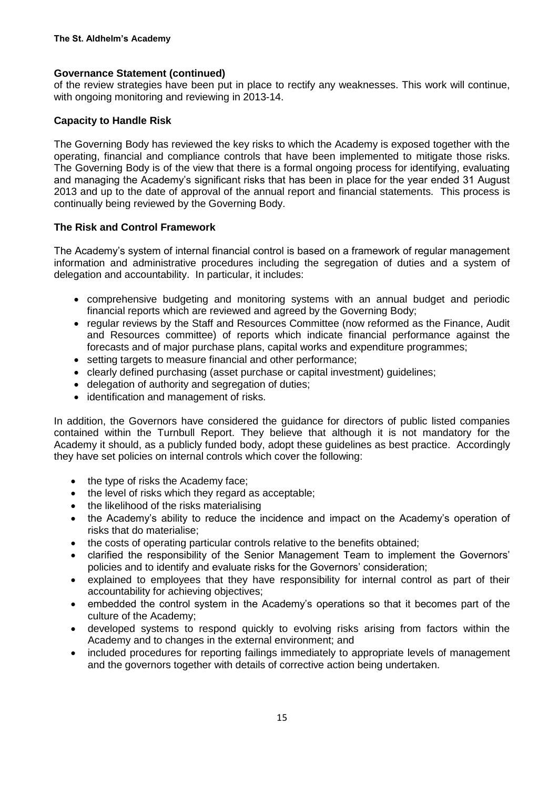## **Governance Statement (continued)**

of the review strategies have been put in place to rectify any weaknesses. This work will continue, with ongoing monitoring and reviewing in 2013-14.

### **Capacity to Handle Risk**

The Governing Body has reviewed the key risks to which the Academy is exposed together with the operating, financial and compliance controls that have been implemented to mitigate those risks. The Governing Body is of the view that there is a formal ongoing process for identifying, evaluating and managing the Academy's significant risks that has been in place for the year ended 31 August 2013 and up to the date of approval of the annual report and financial statements. This process is continually being reviewed by the Governing Body.

## **The Risk and Control Framework**

The Academy's system of internal financial control is based on a framework of regular management information and administrative procedures including the segregation of duties and a system of delegation and accountability. In particular, it includes:

- comprehensive budgeting and monitoring systems with an annual budget and periodic financial reports which are reviewed and agreed by the Governing Body;
- regular reviews by the Staff and Resources Committee (now reformed as the Finance, Audit and Resources committee) of reports which indicate financial performance against the forecasts and of major purchase plans, capital works and expenditure programmes;
- setting targets to measure financial and other performance;
- clearly defined purchasing (asset purchase or capital investment) guidelines;
- delegation of authority and segregation of duties;
- identification and management of risks.

In addition, the Governors have considered the guidance for directors of public listed companies contained within the Turnbull Report. They believe that although it is not mandatory for the Academy it should, as a publicly funded body, adopt these guidelines as best practice. Accordingly they have set policies on internal controls which cover the following:

- the type of risks the Academy face:
- the level of risks which they regard as acceptable;
- the likelihood of the risks materialising
- the Academy's ability to reduce the incidence and impact on the Academy's operation of risks that do materialise;
- the costs of operating particular controls relative to the benefits obtained;
- clarified the responsibility of the Senior Management Team to implement the Governors' policies and to identify and evaluate risks for the Governors' consideration;
- explained to employees that they have responsibility for internal control as part of their accountability for achieving objectives;
- embedded the control system in the Academy's operations so that it becomes part of the culture of the Academy;
- developed systems to respond quickly to evolving risks arising from factors within the Academy and to changes in the external environment; and
- included procedures for reporting failings immediately to appropriate levels of management and the governors together with details of corrective action being undertaken.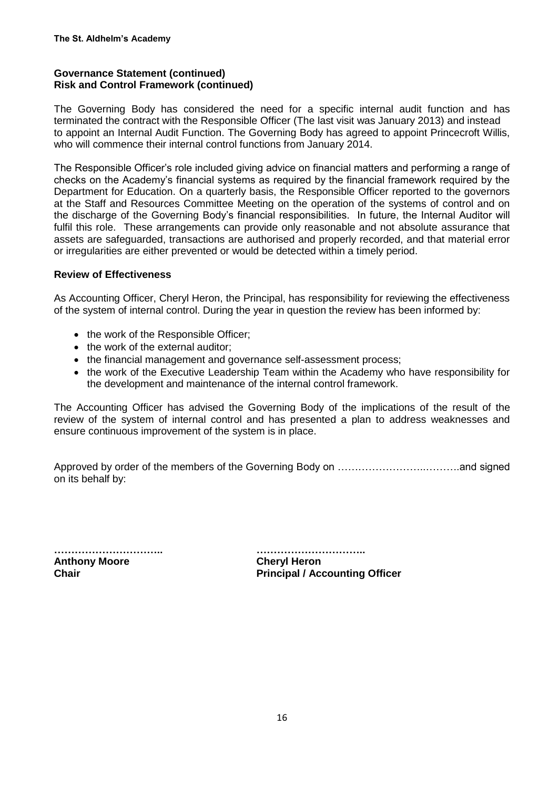## **Governance Statement (continued) Risk and Control Framework (continued)**

The Governing Body has considered the need for a specific internal audit function and has terminated the contract with the Responsible Officer (The last visit was January 2013) and instead to appoint an Internal Audit Function. The Governing Body has agreed to appoint Princecroft Willis, who will commence their internal control functions from January 2014.

The Responsible Officer's role included giving advice on financial matters and performing a range of checks on the Academy's financial systems as required by the financial framework required by the Department for Education. On a quarterly basis, the Responsible Officer reported to the governors at the Staff and Resources Committee Meeting on the operation of the systems of control and on the discharge of the Governing Body's financial responsibilities. In future, the Internal Auditor will fulfil this role. These arrangements can provide only reasonable and not absolute assurance that assets are safeguarded, transactions are authorised and properly recorded, and that material error or irregularities are either prevented or would be detected within a timely period.

## **Review of Effectiveness**

As Accounting Officer, Cheryl Heron, the Principal, has responsibility for reviewing the effectiveness of the system of internal control. During the year in question the review has been informed by:

- the work of the Responsible Officer;
- the work of the external auditor;
- the financial management and governance self-assessment process;
- the work of the Executive Leadership Team within the Academy who have responsibility for the development and maintenance of the internal control framework.

The Accounting Officer has advised the Governing Body of the implications of the result of the review of the system of internal control and has presented a plan to address weaknesses and ensure continuous improvement of the system is in place.

Approved by order of the members of the Governing Body on ……………………..……….and signed on its behalf by:

**Anthony Moore Cheryl Heron**

**………………………….. …………………………..**

**Chair Principal / Accounting Officer**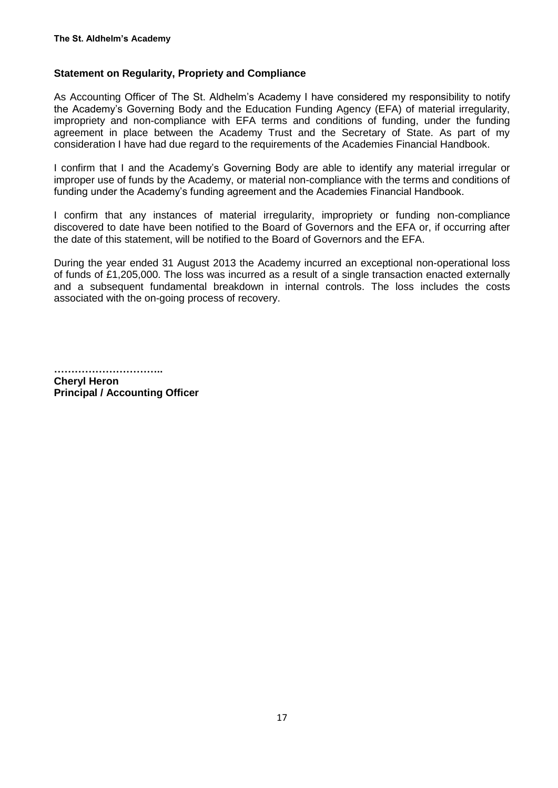## **Statement on Regularity, Propriety and Compliance**

As Accounting Officer of The St. Aldhelm's Academy I have considered my responsibility to notify the Academy's Governing Body and the Education Funding Agency (EFA) of material irregularity, impropriety and non-compliance with EFA terms and conditions of funding, under the funding agreement in place between the Academy Trust and the Secretary of State. As part of my consideration I have had due regard to the requirements of the Academies Financial Handbook.

I confirm that I and the Academy's Governing Body are able to identify any material irregular or improper use of funds by the Academy, or material non-compliance with the terms and conditions of funding under the Academy's funding agreement and the Academies Financial Handbook.

I confirm that any instances of material irregularity, impropriety or funding non-compliance discovered to date have been notified to the Board of Governors and the EFA or, if occurring after the date of this statement, will be notified to the Board of Governors and the EFA.

During the year ended 31 August 2013 the Academy incurred an exceptional non-operational loss of funds of £1,205,000. The loss was incurred as a result of a single transaction enacted externally and a subsequent fundamental breakdown in internal controls. The loss includes the costs associated with the on-going process of recovery.

**…………………………..**

**Cheryl Heron Principal / Accounting Officer**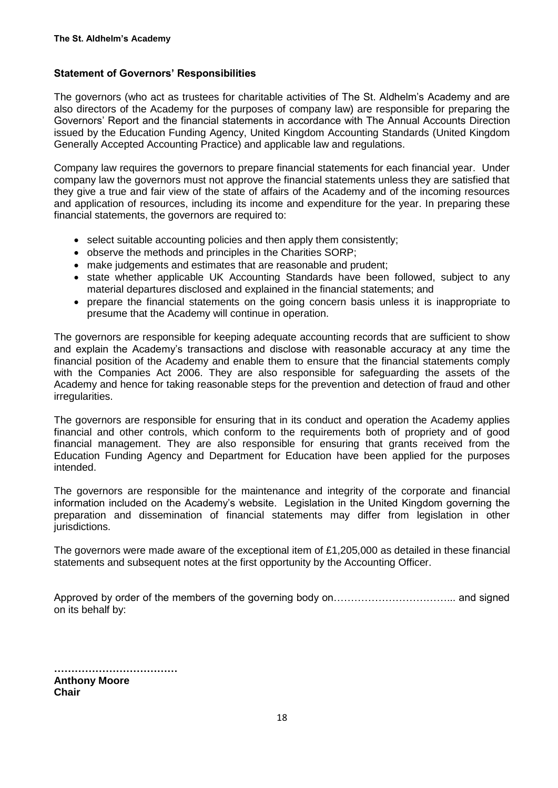## **Statement of Governors' Responsibilities**

The governors (who act as trustees for charitable activities of The St. Aldhelm's Academy and are also directors of the Academy for the purposes of company law) are responsible for preparing the Governors' Report and the financial statements in accordance with The Annual Accounts Direction issued by the Education Funding Agency, United Kingdom Accounting Standards (United Kingdom Generally Accepted Accounting Practice) and applicable law and regulations.

Company law requires the governors to prepare financial statements for each financial year. Under company law the governors must not approve the financial statements unless they are satisfied that they give a true and fair view of the state of affairs of the Academy and of the incoming resources and application of resources, including its income and expenditure for the year. In preparing these financial statements, the governors are required to:

- select suitable accounting policies and then apply them consistently;
- observe the methods and principles in the Charities SORP;
- make judgements and estimates that are reasonable and prudent;
- state whether applicable UK Accounting Standards have been followed, subject to any material departures disclosed and explained in the financial statements; and
- prepare the financial statements on the going concern basis unless it is inappropriate to presume that the Academy will continue in operation.

The governors are responsible for keeping adequate accounting records that are sufficient to show and explain the Academy's transactions and disclose with reasonable accuracy at any time the financial position of the Academy and enable them to ensure that the financial statements comply with the Companies Act 2006. They are also responsible for safeguarding the assets of the Academy and hence for taking reasonable steps for the prevention and detection of fraud and other irregularities.

The governors are responsible for ensuring that in its conduct and operation the Academy applies financial and other controls, which conform to the requirements both of propriety and of good financial management. They are also responsible for ensuring that grants received from the Education Funding Agency and Department for Education have been applied for the purposes intended.

The governors are responsible for the maintenance and integrity of the corporate and financial information included on the Academy's website. Legislation in the United Kingdom governing the preparation and dissemination of financial statements may differ from legislation in other jurisdictions.

The governors were made aware of the exceptional item of £1,205,000 as detailed in these financial statements and subsequent notes at the first opportunity by the Accounting Officer.

Approved by order of the members of the governing body on……………………………... and signed on its behalf by:

**……………………………… Anthony Moore Chair**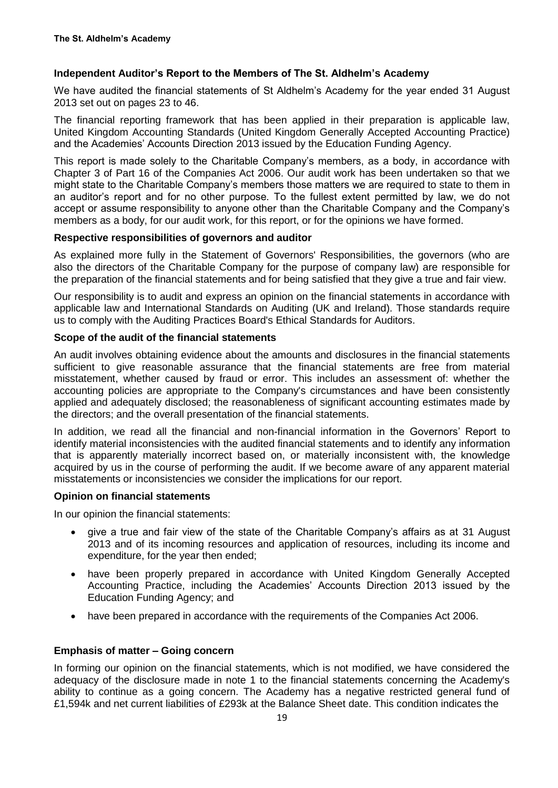## **Independent Auditor's Report to the Members of The St. Aldhelm's Academy**

We have audited the financial statements of St Aldhelm's Academy for the year ended 31 August 2013 set out on pages 23 to 46.

The financial reporting framework that has been applied in their preparation is applicable law, United Kingdom Accounting Standards (United Kingdom Generally Accepted Accounting Practice) and the Academies' Accounts Direction 2013 issued by the Education Funding Agency.

This report is made solely to the Charitable Company's members, as a body, in accordance with Chapter 3 of Part 16 of the Companies Act 2006. Our audit work has been undertaken so that we might state to the Charitable Company's members those matters we are required to state to them in an auditor's report and for no other purpose. To the fullest extent permitted by law, we do not accept or assume responsibility to anyone other than the Charitable Company and the Company's members as a body, for our audit work, for this report, or for the opinions we have formed.

#### **Respective responsibilities of governors and auditor**

As explained more fully in the Statement of Governors' Responsibilities, the governors (who are also the directors of the Charitable Company for the purpose of company law) are responsible for the preparation of the financial statements and for being satisfied that they give a true and fair view.

Our responsibility is to audit and express an opinion on the financial statements in accordance with applicable law and International Standards on Auditing (UK and Ireland). Those standards require us to comply with the Auditing Practices Board's Ethical Standards for Auditors.

#### **Scope of the audit of the financial statements**

An audit involves obtaining evidence about the amounts and disclosures in the financial statements sufficient to give reasonable assurance that the financial statements are free from material misstatement, whether caused by fraud or error. This includes an assessment of: whether the accounting policies are appropriate to the Company's circumstances and have been consistently applied and adequately disclosed; the reasonableness of significant accounting estimates made by the directors; and the overall presentation of the financial statements.

In addition, we read all the financial and non-financial information in the Governors' Report to identify material inconsistencies with the audited financial statements and to identify any information that is apparently materially incorrect based on, or materially inconsistent with, the knowledge acquired by us in the course of performing the audit. If we become aware of any apparent material misstatements or inconsistencies we consider the implications for our report.

## **Opinion on financial statements**

In our opinion the financial statements:

- give a true and fair view of the state of the Charitable Company's affairs as at 31 August 2013 and of its incoming resources and application of resources, including its income and expenditure, for the year then ended;
- have been properly prepared in accordance with United Kingdom Generally Accepted Accounting Practice, including the Academies' Accounts Direction 2013 issued by the Education Funding Agency; and
- have been prepared in accordance with the requirements of the Companies Act 2006.

## **Emphasis of matter – Going concern**

In forming our opinion on the financial statements, which is not modified, we have considered the adequacy of the disclosure made in note 1 to the financial statements concerning the Academy's ability to continue as a going concern. The Academy has a negative restricted general fund of £1,594k and net current liabilities of £293k at the Balance Sheet date. This condition indicates the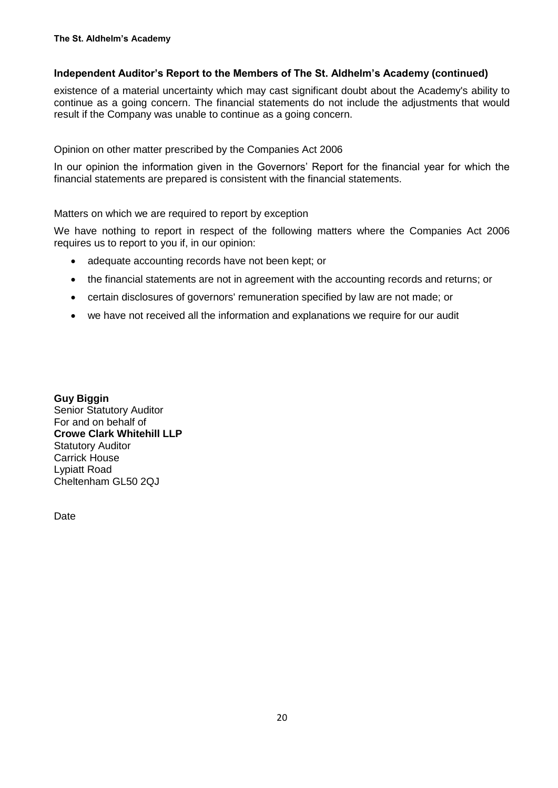## **Independent Auditor's Report to the Members of The St. Aldhelm's Academy (continued)**

existence of a material uncertainty which may cast significant doubt about the Academy's ability to continue as a going concern. The financial statements do not include the adjustments that would result if the Company was unable to continue as a going concern.

Opinion on other matter prescribed by the Companies Act 2006

In our opinion the information given in the Governors' Report for the financial year for which the financial statements are prepared is consistent with the financial statements.

## Matters on which we are required to report by exception

We have nothing to report in respect of the following matters where the Companies Act 2006 requires us to report to you if, in our opinion:

- adequate accounting records have not been kept; or
- the financial statements are not in agreement with the accounting records and returns; or
- certain disclosures of governors' remuneration specified by law are not made; or
- we have not received all the information and explanations we require for our audit

**Guy Biggin** Senior Statutory Auditor For and on behalf of **Crowe Clark Whitehill LLP** Statutory Auditor Carrick House Lypiatt Road Cheltenham GL50 2QJ

**Date**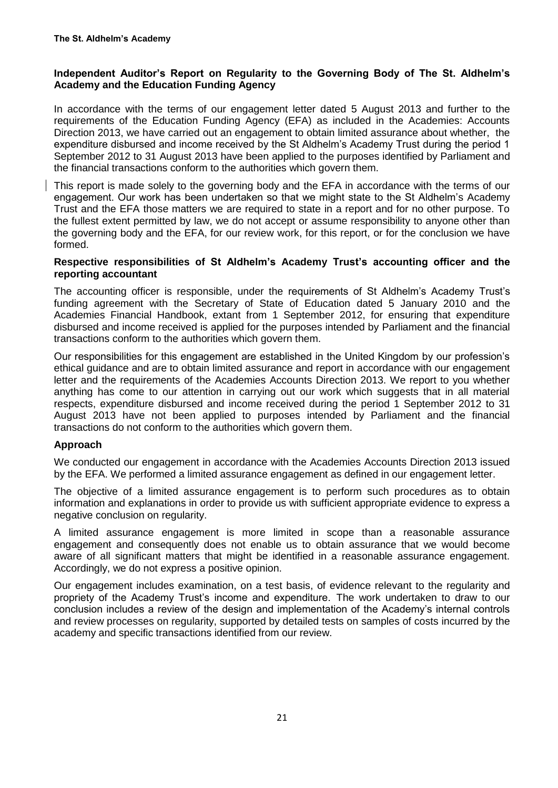## **Independent Auditor's Report on Regularity to the Governing Body of The St. Aldhelm's Academy and the Education Funding Agency**

In accordance with the terms of our engagement letter dated 5 August 2013 and further to the requirements of the Education Funding Agency (EFA) as included in the Academies: Accounts Direction 2013, we have carried out an engagement to obtain limited assurance about whether, the expenditure disbursed and income received by the St Aldhelm's Academy Trust during the period 1 September 2012 to 31 August 2013 have been applied to the purposes identified by Parliament and the financial transactions conform to the authorities which govern them.

This report is made solely to the governing body and the EFA in accordance with the terms of our engagement. Our work has been undertaken so that we might state to the St Aldhelm's Academy Trust and the EFA those matters we are required to state in a report and for no other purpose. To the fullest extent permitted by law, we do not accept or assume responsibility to anyone other than the governing body and the EFA, for our review work, for this report, or for the conclusion we have formed.

### **Respective responsibilities of St Aldhelm's Academy Trust's accounting officer and the reporting accountant**

The accounting officer is responsible, under the requirements of St Aldhelm's Academy Trust's funding agreement with the Secretary of State of Education dated 5 January 2010 and the Academies Financial Handbook, extant from 1 September 2012, for ensuring that expenditure disbursed and income received is applied for the purposes intended by Parliament and the financial transactions conform to the authorities which govern them.

Our responsibilities for this engagement are established in the United Kingdom by our profession's ethical guidance and are to obtain limited assurance and report in accordance with our engagement letter and the requirements of the Academies Accounts Direction 2013. We report to you whether anything has come to our attention in carrying out our work which suggests that in all material respects, expenditure disbursed and income received during the period 1 September 2012 to 31 August 2013 have not been applied to purposes intended by Parliament and the financial transactions do not conform to the authorities which govern them.

## **Approach**

We conducted our engagement in accordance with the Academies Accounts Direction 2013 issued by the EFA. We performed a limited assurance engagement as defined in our engagement letter.

The objective of a limited assurance engagement is to perform such procedures as to obtain information and explanations in order to provide us with sufficient appropriate evidence to express a negative conclusion on regularity.

A limited assurance engagement is more limited in scope than a reasonable assurance engagement and consequently does not enable us to obtain assurance that we would become aware of all significant matters that might be identified in a reasonable assurance engagement. Accordingly, we do not express a positive opinion.

Our engagement includes examination, on a test basis, of evidence relevant to the regularity and propriety of the Academy Trust's income and expenditure. The work undertaken to draw to our conclusion includes a review of the design and implementation of the Academy's internal controls and review processes on regularity, supported by detailed tests on samples of costs incurred by the academy and specific transactions identified from our review.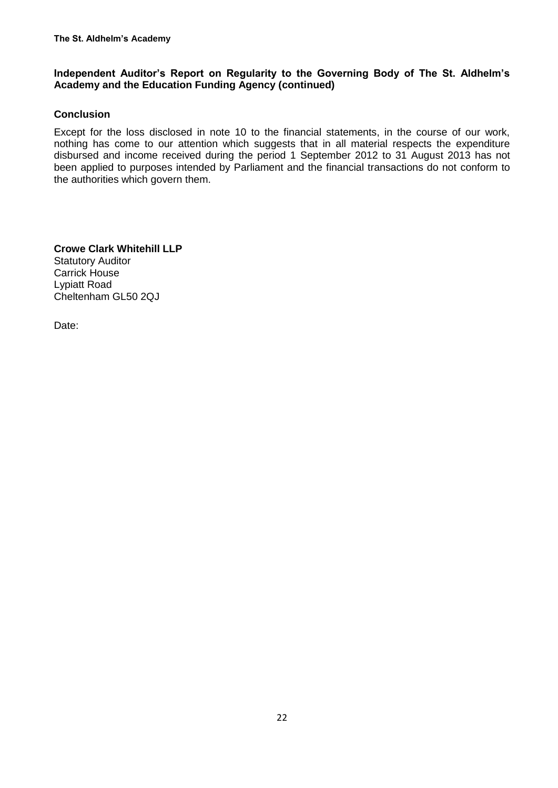## **Independent Auditor's Report on Regularity to the Governing Body of The St. Aldhelm's Academy and the Education Funding Agency (continued)**

## **Conclusion**

Except for the loss disclosed in note 10 to the financial statements, in the course of our work, nothing has come to our attention which suggests that in all material respects the expenditure disbursed and income received during the period 1 September 2012 to 31 August 2013 has not been applied to purposes intended by Parliament and the financial transactions do not conform to the authorities which govern them.

**Crowe Clark Whitehill LLP** Statutory Auditor Carrick House Lypiatt Road Cheltenham GL50 2QJ

Date: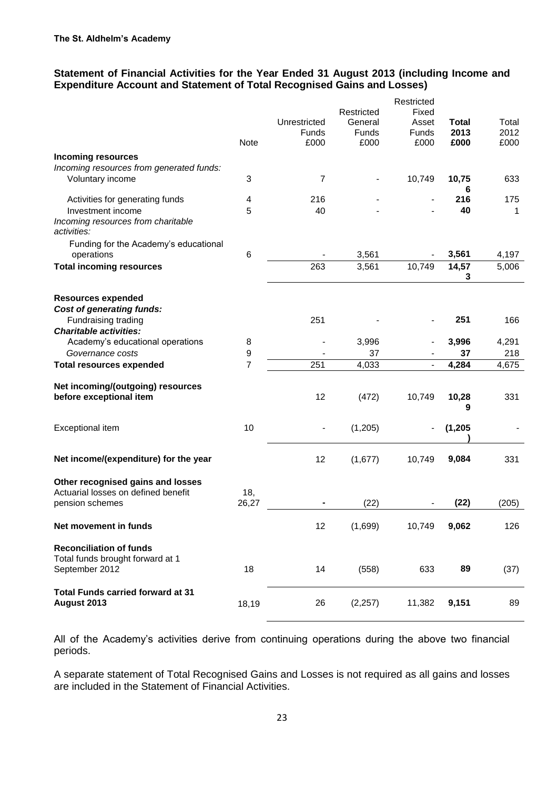## **Statement of Financial Activities for the Year Ended 31 August 2013 (including Income and Expenditure Account and Statement of Total Recognised Gains and Losses)**

|                                                                                      |                | Unrestricted   | Restricted<br>General | Restricted<br>Fixed<br>Asset | <b>Total</b> | Total        |
|--------------------------------------------------------------------------------------|----------------|----------------|-----------------------|------------------------------|--------------|--------------|
|                                                                                      | <b>Note</b>    | Funds<br>£000  | Funds<br>£000         | Funds<br>£000                | 2013<br>£000 | 2012<br>£000 |
| <b>Incoming resources</b>                                                            |                |                |                       |                              |              |              |
| Incoming resources from generated funds:<br>Voluntary income                         | 3              | $\overline{7}$ |                       | 10,749                       | 10,75<br>6   | 633          |
| Activities for generating funds                                                      | 4              | 216            |                       |                              | 216          | 175          |
| Investment income<br>Incoming resources from charitable<br>activities:               | 5              | 40             |                       |                              | 40           | 1            |
| Funding for the Academy's educational<br>operations                                  | 6              |                | 3,561                 |                              | 3,561        | 4,197        |
| <b>Total incoming resources</b>                                                      |                | 263            | 3,561                 | 10,749                       | 14,57        | 5,006        |
|                                                                                      |                |                |                       |                              | 3            |              |
| <b>Resources expended</b><br><b>Cost of generating funds:</b>                        |                |                |                       |                              |              |              |
| Fundraising trading<br><b>Charitable activities:</b>                                 |                | 251            |                       |                              | 251          | 166          |
| Academy's educational operations                                                     | 8              |                | 3,996                 |                              | 3,996        | 4,291        |
| Governance costs                                                                     | 9              |                | 37                    |                              | 37           | 218          |
| <b>Total resources expended</b>                                                      | $\overline{7}$ | 251            | 4,033                 |                              | 4,284        | 4,675        |
| Net incoming/(outgoing) resources<br>before exceptional item                         |                | 12             | (472)                 | 10,749                       | 10,28<br>9   | 331          |
| Exceptional item                                                                     | 10             |                | (1,205)               |                              | (1, 205)     |              |
| Net income/(expenditure) for the year                                                |                | 12             | (1,677)               | 10,749                       | 9,084        | 331          |
| Other recognised gains and losses<br>Actuarial losses on defined benefit             | 18,            |                |                       |                              |              |              |
| pension schemes                                                                      | 26,27          |                | (22)                  |                              | (22)         | (205)        |
| Net movement in funds                                                                |                | 12             | (1,699)               | 10,749                       | 9,062        | 126          |
| <b>Reconciliation of funds</b><br>Total funds brought forward at 1<br>September 2012 | 18             | 14             | (558)                 | 633                          | 89           | (37)         |
| <b>Total Funds carried forward at 31</b><br>August 2013                              | 18,19          | 26             | (2, 257)              | 11,382                       | 9,151        | 89           |

All of the Academy's activities derive from continuing operations during the above two financial periods.

A separate statement of Total Recognised Gains and Losses is not required as all gains and losses are included in the Statement of Financial Activities.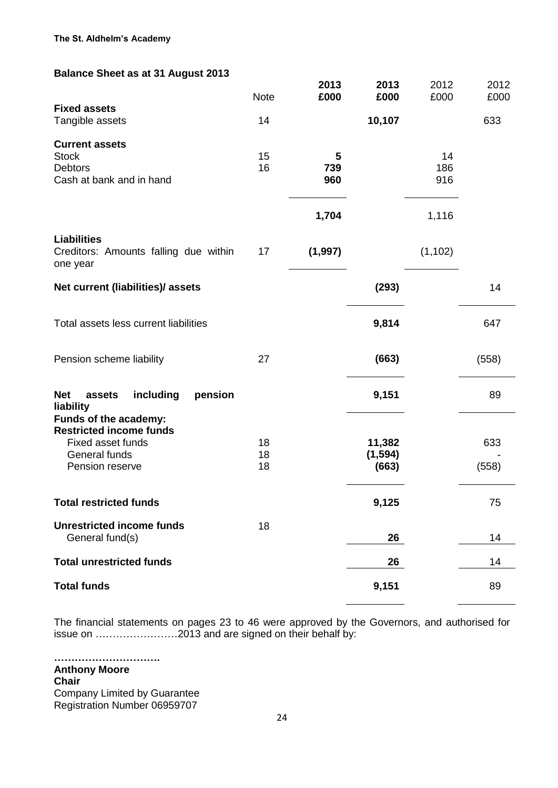## **Balance Sheet as at 31 August 2013**

|                                                                                                                  | <b>Note</b>    | 2013<br>£000    | 2013<br>£000                | 2012<br>£000     | 2012<br>£000 |
|------------------------------------------------------------------------------------------------------------------|----------------|-----------------|-----------------------------|------------------|--------------|
| <b>Fixed assets</b><br>Tangible assets                                                                           | 14             |                 | 10,107                      |                  | 633          |
| <b>Current assets</b><br><b>Stock</b><br><b>Debtors</b><br>Cash at bank and in hand                              | 15<br>16       | 5<br>739<br>960 |                             | 14<br>186<br>916 |              |
|                                                                                                                  |                | 1,704           |                             | 1,116            |              |
| <b>Liabilities</b><br>Creditors: Amounts falling due within<br>one year                                          | 17             | (1, 997)        |                             | (1, 102)         |              |
| Net current (liabilities)/ assets                                                                                |                |                 | (293)                       |                  | 14           |
| Total assets less current liabilities                                                                            |                |                 | 9,814                       |                  | 647          |
| Pension scheme liability                                                                                         | 27             |                 | (663)                       |                  | (558)        |
| including<br>pension<br><b>Net</b><br>assets<br>liability                                                        |                |                 | 9,151                       |                  | 89           |
| Funds of the academy:<br><b>Restricted income funds</b><br>Fixed asset funds<br>General funds<br>Pension reserve | 18<br>18<br>18 |                 | 11,382<br>(1, 594)<br>(663) |                  | 633<br>(558) |
| <b>Total restricted funds</b>                                                                                    |                |                 | 9,125                       |                  | 75           |
| <b>Unrestricted income funds</b><br>General fund(s)                                                              | 18             |                 | 26                          |                  | 14           |
| <b>Total unrestricted funds</b>                                                                                  |                |                 | 26                          |                  | 14           |
| <b>Total funds</b>                                                                                               |                |                 | 9,151                       |                  | 89           |

The financial statements on pages 23 to 46 were approved by the Governors, and authorised for issue on ……………………2013 and are signed on their behalf by:

**…………………………. Anthony Moore Chair** Company Limited by Guarantee Registration Number 06959707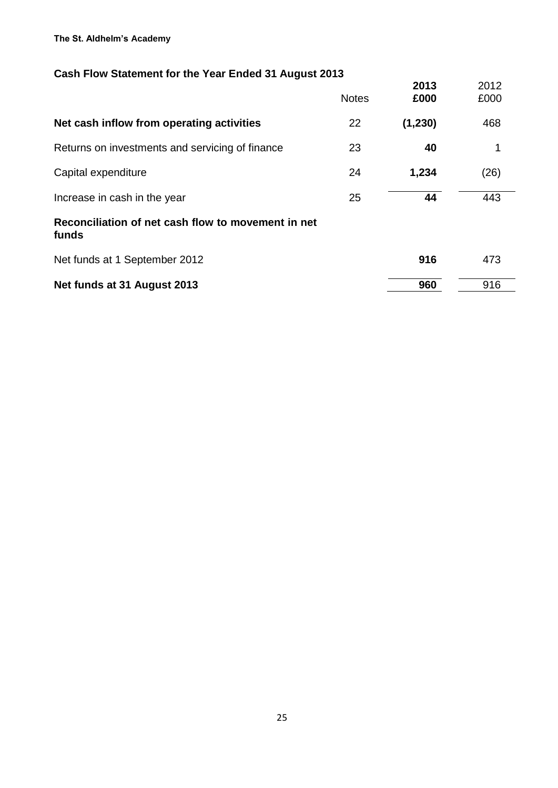#### **The St. Aldhelm's Academy**

# **Cash Flow Statement for the Year Ended 31 August 2013**

|                                                             | <b>Notes</b> | 2013<br>£000 | 2012<br>£000 |  |
|-------------------------------------------------------------|--------------|--------------|--------------|--|
| Net cash inflow from operating activities                   | 22           | (1, 230)     | 468          |  |
| Returns on investments and servicing of finance             | 23           | 40           | 1            |  |
| Capital expenditure                                         | 24           | 1,234        | (26)         |  |
| Increase in cash in the year                                | 25           | 44           | 443          |  |
| Reconciliation of net cash flow to movement in net<br>funds |              |              |              |  |
| Net funds at 1 September 2012                               |              | 916          | 473          |  |
| Net funds at 31 August 2013                                 |              | 960          | 916          |  |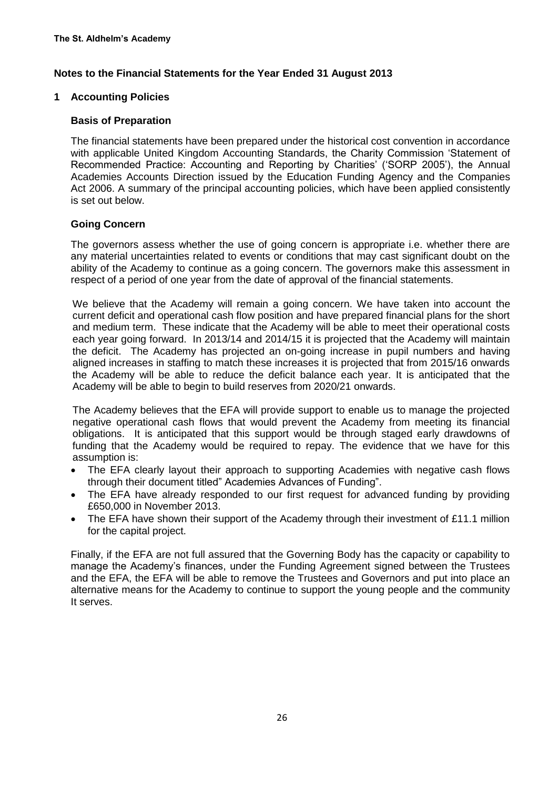### **1 Accounting Policies**

### **Basis of Preparation**

The financial statements have been prepared under the historical cost convention in accordance with applicable United Kingdom Accounting Standards, the Charity Commission 'Statement of Recommended Practice: Accounting and Reporting by Charities' ('SORP 2005'), the Annual Academies Accounts Direction issued by the Education Funding Agency and the Companies Act 2006. A summary of the principal accounting policies, which have been applied consistently is set out below.

## **Going Concern**

The governors assess whether the use of going concern is appropriate i.e. whether there are any material uncertainties related to events or conditions that may cast significant doubt on the ability of the Academy to continue as a going concern. The governors make this assessment in respect of a period of one year from the date of approval of the financial statements.

We believe that the Academy will remain a going concern. We have taken into account the current deficit and operational cash flow position and have prepared financial plans for the short and medium term. These indicate that the Academy will be able to meet their operational costs each year going forward. In 2013/14 and 2014/15 it is projected that the Academy will maintain the deficit. The Academy has projected an on-going increase in pupil numbers and having aligned increases in staffing to match these increases it is projected that from 2015/16 onwards the Academy will be able to reduce the deficit balance each year. It is anticipated that the Academy will be able to begin to build reserves from 2020/21 onwards.

The Academy believes that the EFA will provide support to enable us to manage the projected negative operational cash flows that would prevent the Academy from meeting its financial obligations. It is anticipated that this support would be through staged early drawdowns of funding that the Academy would be required to repay. The evidence that we have for this assumption is:

- The EFA clearly layout their approach to supporting Academies with negative cash flows through their document titled" Academies Advances of Funding".
- The EFA have already responded to our first request for advanced funding by providing £650,000 in November 2013.
- The EFA have shown their support of the Academy through their investment of £11.1 million for the capital project.

Finally, if the EFA are not full assured that the Governing Body has the capacity or capability to manage the Academy's finances, under the Funding Agreement signed between the Trustees and the EFA, the EFA will be able to remove the Trustees and Governors and put into place an alternative means for the Academy to continue to support the young people and the community It serves.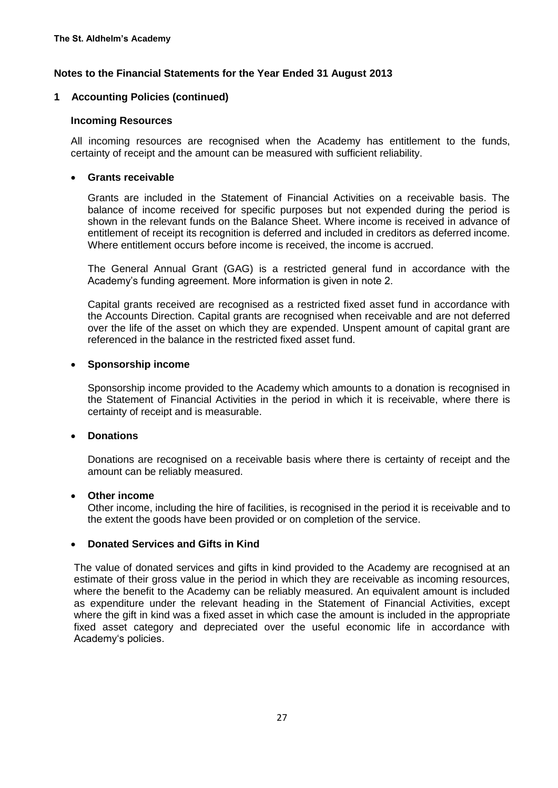#### **1 Accounting Policies (continued)**

#### **Incoming Resources**

All incoming resources are recognised when the Academy has entitlement to the funds, certainty of receipt and the amount can be measured with sufficient reliability.

#### **Grants receivable**

Grants are included in the Statement of Financial Activities on a receivable basis. The balance of income received for specific purposes but not expended during the period is shown in the relevant funds on the Balance Sheet. Where income is received in advance of entitlement of receipt its recognition is deferred and included in creditors as deferred income. Where entitlement occurs before income is received, the income is accrued.

The General Annual Grant (GAG) is a restricted general fund in accordance with the Academy's funding agreement. More information is given in note 2.

Capital grants received are recognised as a restricted fixed asset fund in accordance with the Accounts Direction. Capital grants are recognised when receivable and are not deferred over the life of the asset on which they are expended. Unspent amount of capital grant are referenced in the balance in the restricted fixed asset fund.

#### **Sponsorship income**

Sponsorship income provided to the Academy which amounts to a donation is recognised in the Statement of Financial Activities in the period in which it is receivable, where there is certainty of receipt and is measurable.

#### **Donations**

Donations are recognised on a receivable basis where there is certainty of receipt and the amount can be reliably measured.

#### **Other income**

Other income, including the hire of facilities, is recognised in the period it is receivable and to the extent the goods have been provided or on completion of the service.

#### **Donated Services and Gifts in Kind**

The value of donated services and gifts in kind provided to the Academy are recognised at an estimate of their gross value in the period in which they are receivable as incoming resources, where the benefit to the Academy can be reliably measured. An equivalent amount is included as expenditure under the relevant heading in the Statement of Financial Activities, except where the gift in kind was a fixed asset in which case the amount is included in the appropriate fixed asset category and depreciated over the useful economic life in accordance with Academy's policies.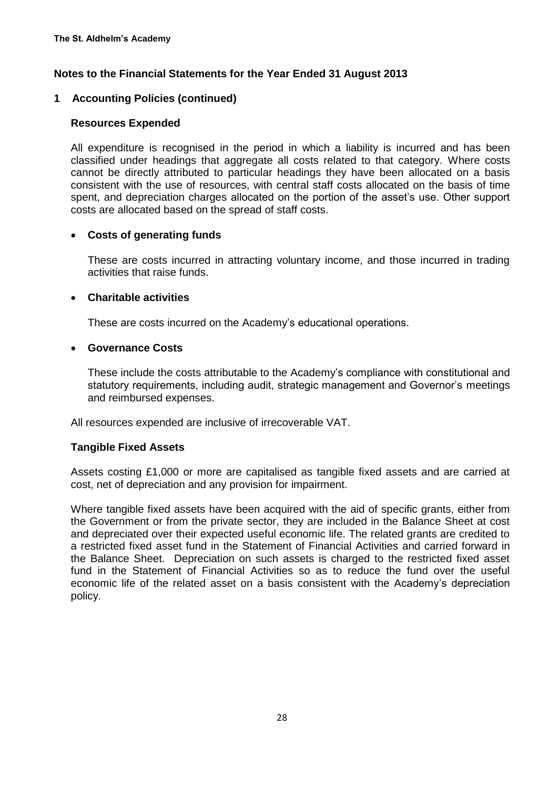## **1 Accounting Policies (continued)**

## **Resources Expended**

All expenditure is recognised in the period in which a liability is incurred and has been classified under headings that aggregate all costs related to that category. Where costs cannot be directly attributed to particular headings they have been allocated on a basis consistent with the use of resources, with central staff costs allocated on the basis of time spent, and depreciation charges allocated on the portion of the asset's use. Other support costs are allocated based on the spread of staff costs.

## **Costs of generating funds**

These are costs incurred in attracting voluntary income, and those incurred in trading activities that raise funds.

## **Charitable activities**

These are costs incurred on the Academy's educational operations.

## **Governance Costs**

These include the costs attributable to the Academy's compliance with constitutional and statutory requirements, including audit, strategic management and Governor's meetings and reimbursed expenses.

All resources expended are inclusive of irrecoverable VAT.

## **Tangible Fixed Assets**

Assets costing £1,000 or more are capitalised as tangible fixed assets and are carried at cost, net of depreciation and any provision for impairment.

Where tangible fixed assets have been acquired with the aid of specific grants, either from the Government or from the private sector, they are included in the Balance Sheet at cost and depreciated over their expected useful economic life. The related grants are credited to a restricted fixed asset fund in the Statement of Financial Activities and carried forward in the Balance Sheet. Depreciation on such assets is charged to the restricted fixed asset fund in the Statement of Financial Activities so as to reduce the fund over the useful economic life of the related asset on a basis consistent with the Academy's depreciation policy.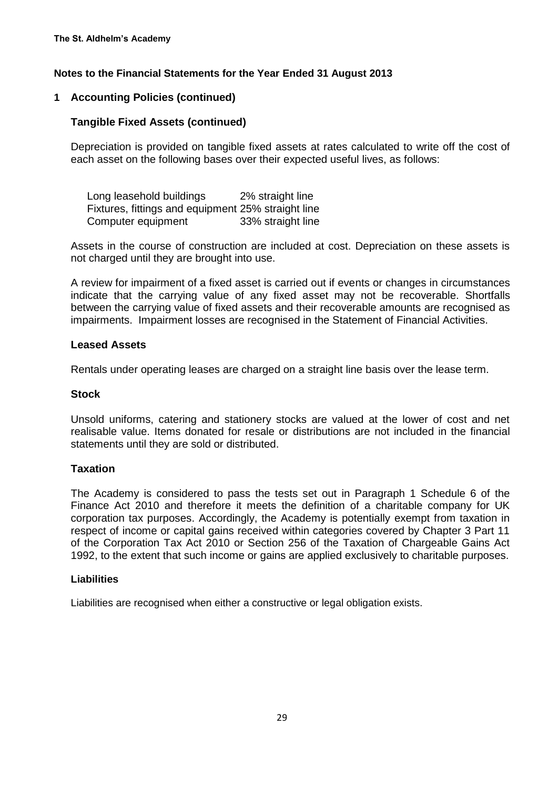## **1 Accounting Policies (continued)**

## **Tangible Fixed Assets (continued)**

Depreciation is provided on tangible fixed assets at rates calculated to write off the cost of each asset on the following bases over their expected useful lives, as follows:

Long leasehold buildings 2% straight line Fixtures, fittings and equipment 25% straight line Computer equipment 33% straight line

Assets in the course of construction are included at cost. Depreciation on these assets is not charged until they are brought into use.

A review for impairment of a fixed asset is carried out if events or changes in circumstances indicate that the carrying value of any fixed asset may not be recoverable. Shortfalls between the carrying value of fixed assets and their recoverable amounts are recognised as impairments. Impairment losses are recognised in the Statement of Financial Activities.

#### **Leased Assets**

Rentals under operating leases are charged on a straight line basis over the lease term.

### **Stock**

Unsold uniforms, catering and stationery stocks are valued at the lower of cost and net realisable value. Items donated for resale or distributions are not included in the financial statements until they are sold or distributed.

#### **Taxation**

The Academy is considered to pass the tests set out in Paragraph 1 Schedule 6 of the Finance Act 2010 and therefore it meets the definition of a charitable company for UK corporation tax purposes. Accordingly, the Academy is potentially exempt from taxation in respect of income or capital gains received within categories covered by Chapter 3 Part 11 of the Corporation Tax Act 2010 or Section 256 of the Taxation of Chargeable Gains Act 1992, to the extent that such income or gains are applied exclusively to charitable purposes.

#### **Liabilities**

Liabilities are recognised when either a constructive or legal obligation exists.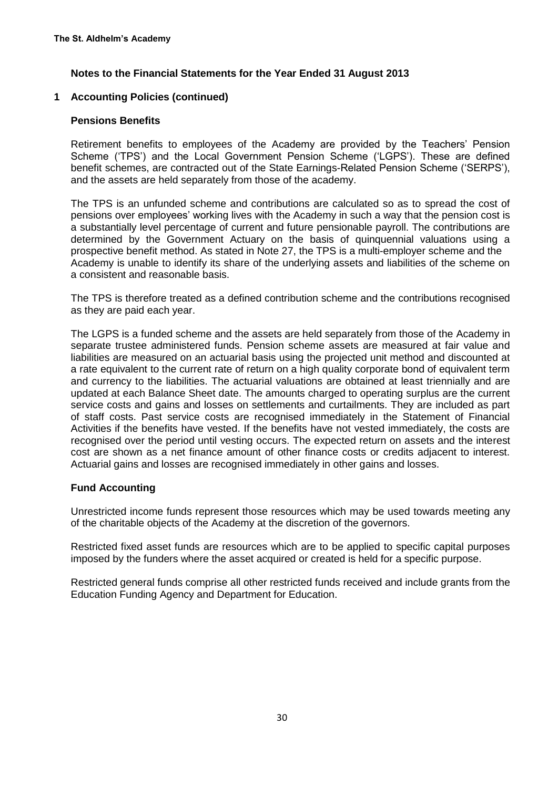## **1 Accounting Policies (continued)**

### **Pensions Benefits**

Retirement benefits to employees of the Academy are provided by the Teachers' Pension Scheme ('TPS') and the Local Government Pension Scheme ('LGPS'). These are defined benefit schemes, are contracted out of the State Earnings-Related Pension Scheme ('SERPS'), and the assets are held separately from those of the academy.

The TPS is an unfunded scheme and contributions are calculated so as to spread the cost of pensions over employees' working lives with the Academy in such a way that the pension cost is a substantially level percentage of current and future pensionable payroll. The contributions are determined by the Government Actuary on the basis of quinquennial valuations using a prospective benefit method. As stated in Note 27, the TPS is a multi-employer scheme and the Academy is unable to identify its share of the underlying assets and liabilities of the scheme on a consistent and reasonable basis.

The TPS is therefore treated as a defined contribution scheme and the contributions recognised as they are paid each year.

The LGPS is a funded scheme and the assets are held separately from those of the Academy in separate trustee administered funds. Pension scheme assets are measured at fair value and liabilities are measured on an actuarial basis using the projected unit method and discounted at a rate equivalent to the current rate of return on a high quality corporate bond of equivalent term and currency to the liabilities. The actuarial valuations are obtained at least triennially and are updated at each Balance Sheet date. The amounts charged to operating surplus are the current service costs and gains and losses on settlements and curtailments. They are included as part of staff costs. Past service costs are recognised immediately in the Statement of Financial Activities if the benefits have vested. If the benefits have not vested immediately, the costs are recognised over the period until vesting occurs. The expected return on assets and the interest cost are shown as a net finance amount of other finance costs or credits adjacent to interest. Actuarial gains and losses are recognised immediately in other gains and losses.

## **Fund Accounting**

Unrestricted income funds represent those resources which may be used towards meeting any of the charitable objects of the Academy at the discretion of the governors.

Restricted fixed asset funds are resources which are to be applied to specific capital purposes imposed by the funders where the asset acquired or created is held for a specific purpose.

Restricted general funds comprise all other restricted funds received and include grants from the Education Funding Agency and Department for Education.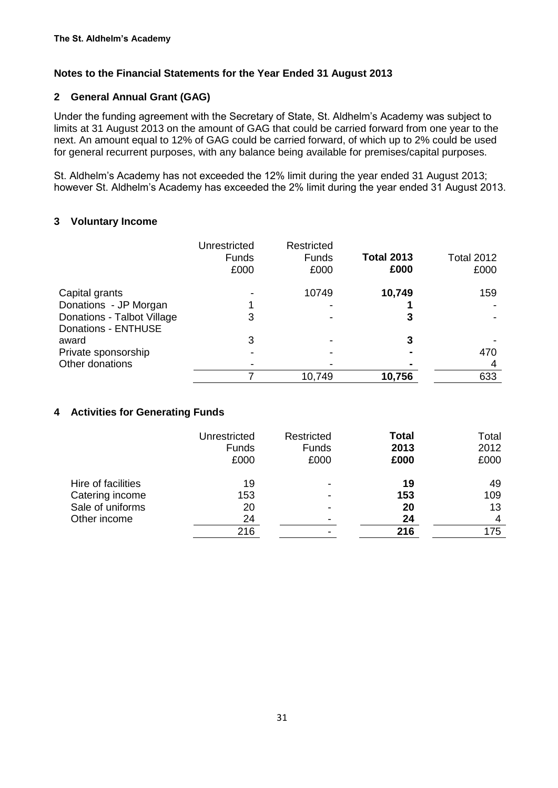## **2 General Annual Grant (GAG)**

Under the funding agreement with the Secretary of State, St. Aldhelm's Academy was subject to limits at 31 August 2013 on the amount of GAG that could be carried forward from one year to the next. An amount equal to 12% of GAG could be carried forward, of which up to 2% could be used for general recurrent purposes, with any balance being available for premises/capital purposes.

St. Aldhelm's Academy has not exceeded the 12% limit during the year ended 31 August 2013; however St. Aldhelm's Academy has exceeded the 2% limit during the year ended 31 August 2013.

## **3 Voluntary Income**

|                            | Unrestricted<br><b>Funds</b><br>£000 | Restricted<br><b>Funds</b><br>£000 | <b>Total 2013</b><br>£000 | Total 2012<br>£000 |
|----------------------------|--------------------------------------|------------------------------------|---------------------------|--------------------|
| Capital grants             |                                      | 10749                              | 10,749                    | 159                |
| Donations - JP Morgan      |                                      |                                    |                           |                    |
| Donations - Talbot Village | 3                                    |                                    |                           |                    |
| Donations - ENTHUSE        |                                      |                                    |                           |                    |
| award                      | 3                                    |                                    |                           |                    |
| Private sponsorship        |                                      |                                    |                           | 470                |
| Other donations            |                                      |                                    |                           |                    |
|                            |                                      | 10,749                             | 10,756                    | 633                |

## **4 Activities for Generating Funds**

|                    | Unrestricted<br><b>Funds</b><br>£000 | Restricted<br><b>Funds</b><br>£000 | <b>Total</b><br>2013<br>£000 | Total<br>2012<br>£000 |
|--------------------|--------------------------------------|------------------------------------|------------------------------|-----------------------|
| Hire of facilities | 19                                   |                                    | 19                           | 49                    |
| Catering income    | 153                                  |                                    | 153                          | 109                   |
| Sale of uniforms   | 20                                   |                                    | 20                           | 13                    |
| Other income       | 24                                   |                                    | 24                           | 4                     |
|                    | 216                                  |                                    | 216                          | 175                   |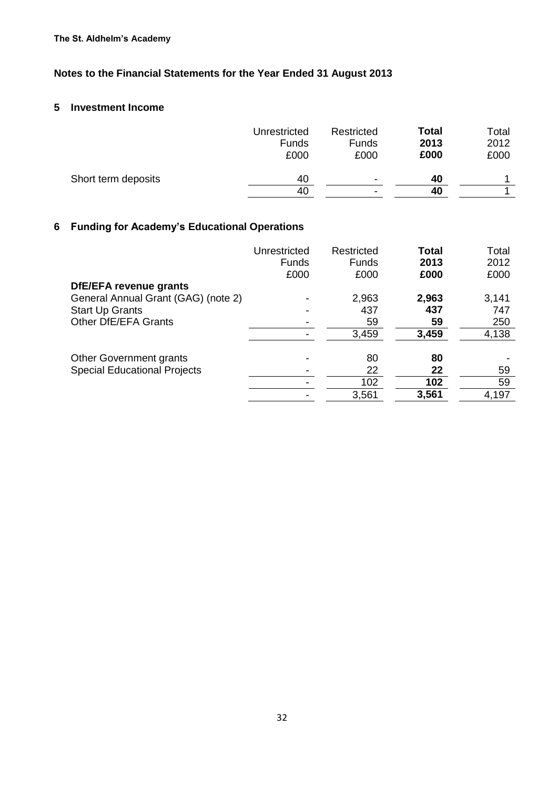## **5 Investment Income**

|                     | Unrestricted<br>Funds<br>£000 | Restricted<br><b>Funds</b><br>£000 | <b>Total</b><br>2013<br>£000 | Total<br>2012<br>£000 |
|---------------------|-------------------------------|------------------------------------|------------------------------|-----------------------|
| Short term deposits | 40                            | $\overline{\phantom{0}}$           | 40                           |                       |
|                     | 40                            |                                    | 40                           |                       |

## **6 Funding for Academy's Educational Operations**

|                                     | Unrestricted<br>Funds<br>£000 | Restricted<br>Funds<br>£000 | Total<br>2013<br>£000 | Total<br>2012<br>£000 |
|-------------------------------------|-------------------------------|-----------------------------|-----------------------|-----------------------|
| DfE/EFA revenue grants              |                               |                             |                       |                       |
| General Annual Grant (GAG) (note 2) |                               | 2,963                       | 2,963                 | 3,141                 |
| <b>Start Up Grants</b>              |                               | 437                         | 437                   | 747                   |
| Other DfE/EFA Grants                |                               | 59                          | 59                    | 250                   |
|                                     |                               | 3,459                       | 3,459                 | 4,138                 |
| <b>Other Government grants</b>      |                               | 80                          | 80                    |                       |
| <b>Special Educational Projects</b> |                               | 22                          | 22                    | 59                    |
|                                     |                               | 102                         | 102                   | 59                    |
|                                     |                               | 3,561                       | 3,561                 | 4,197                 |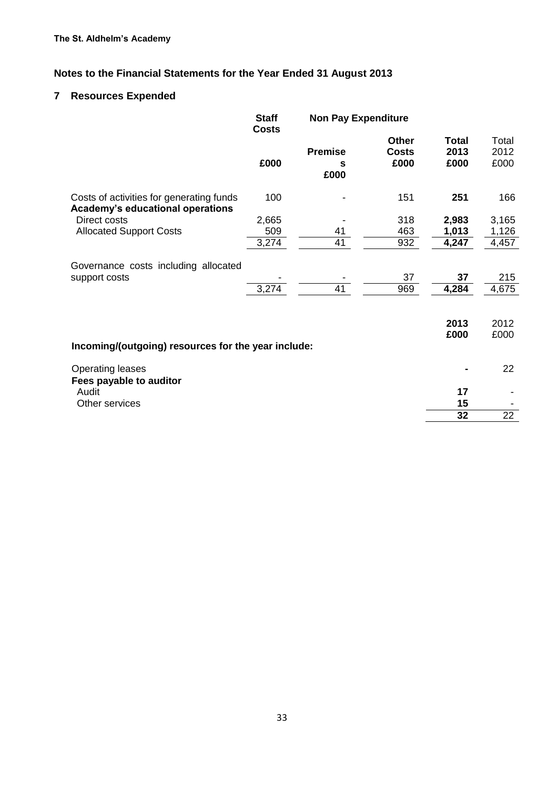## **7 Resources Expended**

|                                                                              | <b>Staff</b><br><b>Costs</b> | <b>Non Pay Expenditure</b>  |                                      |                       |                       |
|------------------------------------------------------------------------------|------------------------------|-----------------------------|--------------------------------------|-----------------------|-----------------------|
|                                                                              | £000                         | <b>Premise</b><br>s<br>£000 | <b>Other</b><br><b>Costs</b><br>£000 | Total<br>2013<br>£000 | Total<br>2012<br>£000 |
| Costs of activities for generating funds<br>Academy's educational operations | 100                          |                             | 151                                  | 251                   | 166                   |
| Direct costs                                                                 | 2,665                        |                             | 318                                  | 2,983                 | 3,165                 |
| <b>Allocated Support Costs</b>                                               | 509                          | 41                          | 463                                  | 1,013                 | 1,126                 |
|                                                                              | 3,274                        | 41                          | 932                                  | 4,247                 | 4,457                 |
| Governance costs including allocated<br>support costs                        | 3,274                        | 41                          | 37<br>969                            | 37<br>4,284           | 215<br>4,675          |
| Incoming/(outgoing) resources for the year include:                          |                              |                             |                                      | 2013<br>£000          | 2012<br>£000          |
| <b>Operating leases</b><br>Fees payable to auditor                           |                              |                             |                                      |                       | 22                    |
| Audit                                                                        |                              |                             |                                      | 17                    |                       |
| Other services                                                               |                              |                             |                                      | 15                    |                       |
|                                                                              |                              |                             |                                      | 32                    | 22                    |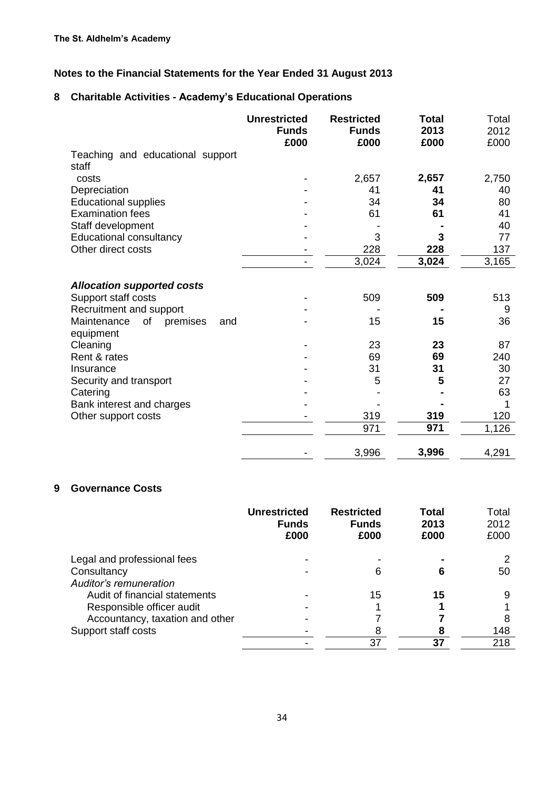## **8 Charitable Activities - Academy's Educational Operations**

|                                                          | <b>Unrestricted</b><br><b>Funds</b><br>£000 | <b>Restricted</b><br><b>Funds</b><br>£000 | Total<br>2013<br>£000 | Total<br>2012<br>£000 |
|----------------------------------------------------------|---------------------------------------------|-------------------------------------------|-----------------------|-----------------------|
| Teaching and educational support<br>staff                |                                             |                                           |                       |                       |
| costs                                                    |                                             | 2,657                                     | 2,657                 | 2,750                 |
| Depreciation                                             |                                             | 41                                        | 41                    | 40                    |
| <b>Educational supplies</b>                              |                                             | 34                                        | 34                    | 80                    |
| <b>Examination fees</b>                                  |                                             | 61                                        | 61                    | 41                    |
| Staff development                                        |                                             |                                           |                       | 40                    |
| <b>Educational consultancy</b>                           |                                             | 3                                         | 3                     | 77                    |
| Other direct costs                                       |                                             | 228                                       | 228                   | 137                   |
|                                                          |                                             | 3,024                                     | 3,024                 | 3,165                 |
| <b>Allocation supported costs</b><br>Support staff costs |                                             | 509                                       | 509                   | 513                   |
| Recruitment and support                                  |                                             |                                           |                       | 9                     |
| of<br>Maintenance<br>premises<br>and<br>equipment        |                                             | 15                                        | 15                    | 36                    |
| Cleaning                                                 |                                             | 23                                        | 23                    | 87                    |
| Rent & rates                                             |                                             | 69                                        | 69                    | 240                   |
| Insurance                                                |                                             | 31                                        | 31                    | 30                    |
| Security and transport                                   |                                             | 5                                         | 5                     | 27                    |
| Catering                                                 |                                             |                                           |                       | 63                    |
| Bank interest and charges                                |                                             |                                           |                       |                       |
| Other support costs                                      |                                             | 319                                       | 319                   | 120                   |
|                                                          |                                             | 971                                       | 971                   | 1,126                 |
|                                                          |                                             | 3,996                                     | 3,996                 | 4,291                 |

## **9 Governance Costs**

|                                                                      | <b>Unrestricted</b><br><b>Funds</b><br>£000 | <b>Restricted</b><br><b>Funds</b><br>£000 | Total<br>2013<br>£000 | Total<br>2012<br>£000 |
|----------------------------------------------------------------------|---------------------------------------------|-------------------------------------------|-----------------------|-----------------------|
| Legal and professional fees<br>Consultancy<br>Auditor's remuneration |                                             |                                           | 6                     | 50                    |
| Audit of financial statements                                        |                                             | 15                                        | 15                    |                       |
| Responsible officer audit                                            |                                             |                                           |                       |                       |
| Accountancy, taxation and other                                      |                                             |                                           |                       |                       |
| Support staff costs                                                  |                                             |                                           | 8                     | 148                   |
|                                                                      |                                             | 37                                        | 37                    | 218                   |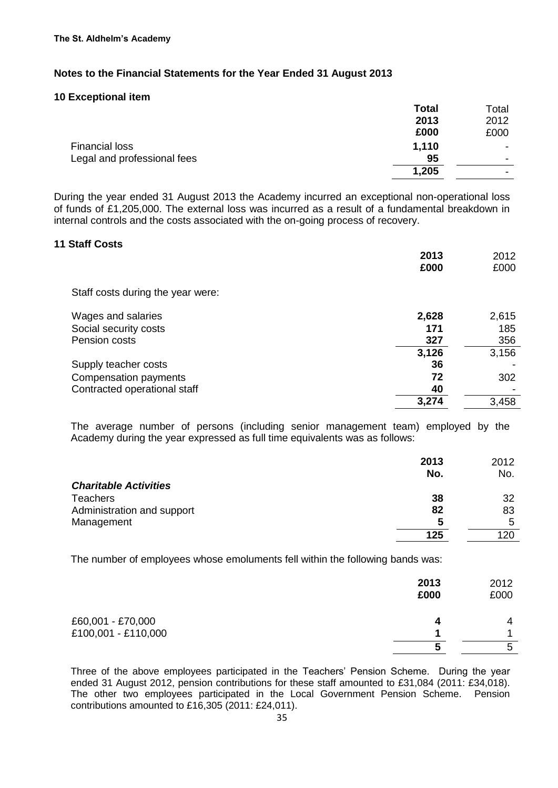#### **10 Exceptional item**

|                             | <b>Total</b> | Total                    |
|-----------------------------|--------------|--------------------------|
|                             | 2013         | 2012                     |
|                             | £000         | £000                     |
| Financial loss              | 1,110        | $\overline{\phantom{0}}$ |
| Legal and professional fees | 95           | $\overline{\phantom{0}}$ |
|                             | 1,205        | ٠                        |
|                             |              |                          |

During the year ended 31 August 2013 the Academy incurred an exceptional non-operational loss of funds of £1,205,000. The external loss was incurred as a result of a fundamental breakdown in internal controls and the costs associated with the on-going process of recovery.

#### **11 Staff Costs**

| Staff costs during the year were:<br>Wages and salaries<br>2,628<br>Social security costs<br>171<br>Pension costs<br>327<br>3,126<br>Supply teacher costs<br>36<br>Compensation payments<br>72<br>Contracted operational staff<br>40<br>3,274 | 2013<br>£000 | 2012<br>£000 |
|-----------------------------------------------------------------------------------------------------------------------------------------------------------------------------------------------------------------------------------------------|--------------|--------------|
|                                                                                                                                                                                                                                               |              |              |
|                                                                                                                                                                                                                                               |              | 2,615        |
|                                                                                                                                                                                                                                               |              | 185          |
|                                                                                                                                                                                                                                               |              | 356          |
|                                                                                                                                                                                                                                               |              | 3,156        |
|                                                                                                                                                                                                                                               |              |              |
|                                                                                                                                                                                                                                               |              | 302          |
|                                                                                                                                                                                                                                               |              |              |
|                                                                                                                                                                                                                                               |              | 3,458        |

The average number of persons (including senior management team) employed by the Academy during the year expressed as full time equivalents was as follows:

|                              | 2013 | 2012 |
|------------------------------|------|------|
|                              | No.  | No.  |
| <b>Charitable Activities</b> |      |      |
| <b>Teachers</b>              | 38   | 32   |
| Administration and support   | 82   | 83   |
| Management                   | 5    | 5    |
|                              | 125  | 120  |

The number of employees whose emoluments fell within the following bands was:

|                     | 2013<br>£000 | 2012<br>£000 |
|---------------------|--------------|--------------|
| £60,001 - £70,000   | д            | 4            |
| £100,001 - £110,000 |              |              |
|                     |              | 5            |

Three of the above employees participated in the Teachers' Pension Scheme. During the year ended 31 August 2012, pension contributions for these staff amounted to £31,084 (2011: £34,018). The other two employees participated in the Local Government Pension Scheme. Pension contributions amounted to £16,305 (2011: £24,011).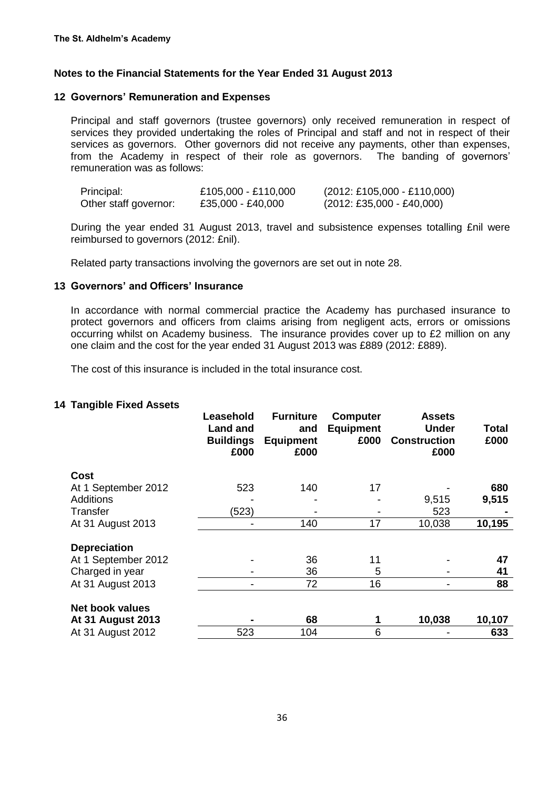#### **12 Governors' Remuneration and Expenses**

Principal and staff governors (trustee governors) only received remuneration in respect of services they provided undertaking the roles of Principal and staff and not in respect of their services as governors. Other governors did not receive any payments, other than expenses, from the Academy in respect of their role as governors. The banding of governors' remuneration was as follows:

| Principal:            | £105,000 - £110,000 | $(2012: \text{\textsterling}105,000 - \text{\textsterling}110,000)$ |
|-----------------------|---------------------|---------------------------------------------------------------------|
| Other staff governor: | £35,000 - £40,000   | $(2012: \text{\textsterling}35,000 - \text{\textsterling}40,000)$   |

During the year ended 31 August 2013, travel and subsistence expenses totalling £nil were reimbursed to governors (2012: £nil).

Related party transactions involving the governors are set out in note 28.

#### **13 Governors' and Officers' Insurance**

In accordance with normal commercial practice the Academy has purchased insurance to protect governors and officers from claims arising from negligent acts, errors or omissions occurring whilst on Academy business. The insurance provides cover up to £2 million on any one claim and the cost for the year ended 31 August 2013 was £889 (2012: £889).

The cost of this insurance is included in the total insurance cost.

#### **14 Tangible Fixed Assets**

|                          | Leasehold<br><b>Land and</b><br><b>Buildings</b><br>£000 | <b>Furniture</b><br>and<br><b>Equipment</b><br>£000 | <b>Computer</b><br><b>Equipment</b><br>£000 | <b>Assets</b><br><b>Under</b><br><b>Construction</b><br>£000 | Total<br>£000 |
|--------------------------|----------------------------------------------------------|-----------------------------------------------------|---------------------------------------------|--------------------------------------------------------------|---------------|
| Cost                     |                                                          |                                                     |                                             |                                                              |               |
| At 1 September 2012      | 523                                                      | 140                                                 | 17                                          |                                                              | 680           |
| <b>Additions</b>         |                                                          |                                                     |                                             | 9,515                                                        | 9,515         |
| <b>Transfer</b>          | (523)                                                    |                                                     |                                             | 523                                                          |               |
| At 31 August 2013        |                                                          | 140                                                 | 17                                          | 10,038                                                       | 10,195        |
| <b>Depreciation</b>      |                                                          |                                                     |                                             |                                                              |               |
| At 1 September 2012      |                                                          | 36                                                  | 11                                          |                                                              | 47            |
| Charged in year          |                                                          | 36                                                  | 5                                           |                                                              | 41            |
| At 31 August 2013        |                                                          | 72                                                  | 16                                          |                                                              | 88            |
| <b>Net book values</b>   |                                                          |                                                     |                                             |                                                              |               |
| <b>At 31 August 2013</b> |                                                          | 68                                                  | 1                                           | 10,038                                                       | 10,107        |
| At 31 August 2012        | 523                                                      | 104                                                 | 6                                           |                                                              | 633           |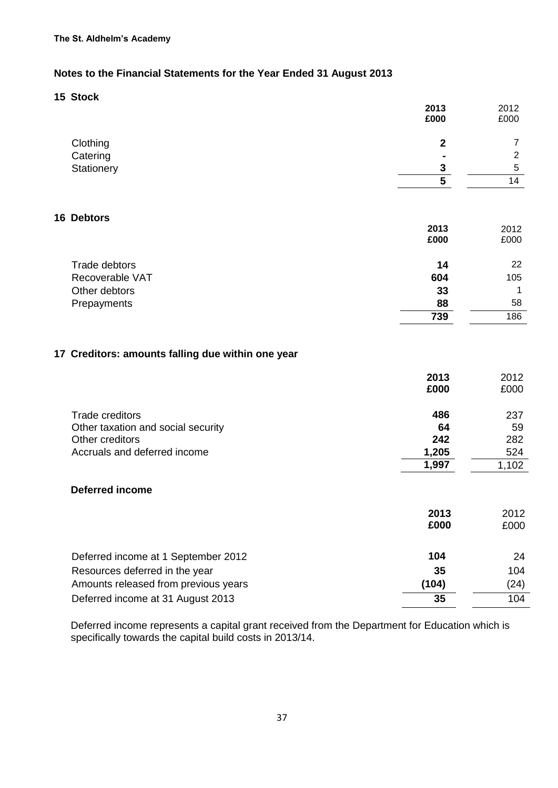**15 Stock**

|                                                   | 2013<br>£000            | 2012<br>£000   |
|---------------------------------------------------|-------------------------|----------------|
| Clothing                                          | $\mathbf{2}$            | 7              |
| Catering                                          |                         | $\overline{2}$ |
| Stationery                                        | $\overline{\mathbf{3}}$ | 5              |
|                                                   | $\overline{5}$          | 14             |
| <b>16 Debtors</b>                                 |                         |                |
|                                                   | 2013<br>£000            | 2012<br>£000   |
| Trade debtors                                     | 14                      | 22             |
| Recoverable VAT                                   | 604                     | 105            |
| Other debtors                                     | 33                      | 1              |
| Prepayments                                       | 88                      | 58             |
|                                                   | 739                     | 186            |
| 17 Creditors: amounts falling due within one year |                         |                |
|                                                   | 2013                    | 2012           |
|                                                   | £000                    | £000           |
| <b>Trade creditors</b>                            | 486                     | 237            |
| Other taxation and social security                | 64                      | 59             |
| Other creditors                                   | 242                     | 282            |
| Accruals and deferred income                      | 1,205<br>1,997          | 524<br>1,102   |
|                                                   |                         |                |
| <b>Deferred income</b>                            |                         |                |
|                                                   | 2013                    | 2012           |
|                                                   | £000                    | £000           |
| Deferred income at 1 September 2012               | 104                     | 24             |
| Resources deferred in the year                    | 35                      | 104            |
| Amounts released from previous years              | (104)                   | (24)           |
| Deferred income at 31 August 2013                 | 35                      | 104            |

Deferred income represents a capital grant received from the Department for Education which is specifically towards the capital build costs in 2013/14.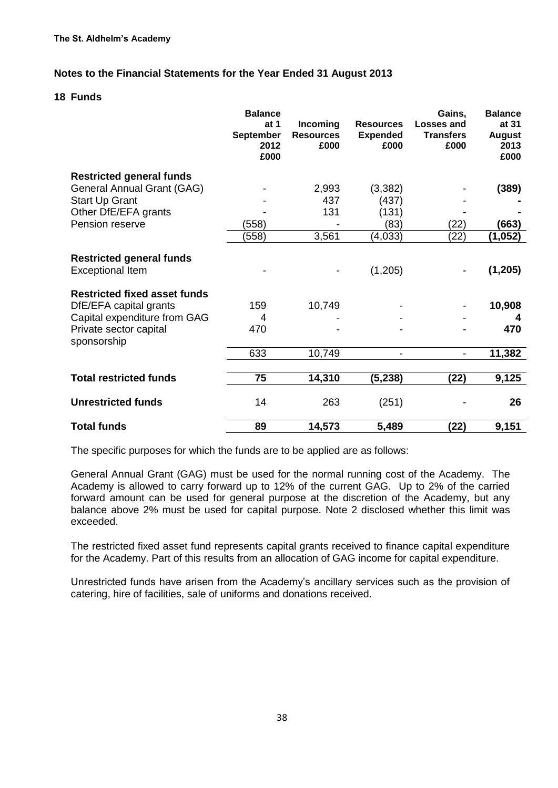#### **18 Funds**

|                                                            | <b>Balance</b><br>at $1$<br><b>September</b><br>2012<br>£000 | Incoming<br><b>Resources</b><br>£000 | <b>Resources</b><br><b>Expended</b><br>£000 | Gains,<br>Losses and<br><b>Transfers</b><br>£000 | <b>Balance</b><br>at 31<br><b>August</b><br>2013<br>£000 |
|------------------------------------------------------------|--------------------------------------------------------------|--------------------------------------|---------------------------------------------|--------------------------------------------------|----------------------------------------------------------|
| <b>Restricted general funds</b>                            |                                                              |                                      |                                             |                                                  |                                                          |
| General Annual Grant (GAG)                                 |                                                              | 2,993                                | (3,382)                                     |                                                  | (389)                                                    |
| <b>Start Up Grant</b>                                      |                                                              | 437                                  | (437)                                       |                                                  |                                                          |
| Other DfE/EFA grants                                       |                                                              | 131                                  | (131)                                       |                                                  |                                                          |
| Pension reserve                                            | (558)                                                        |                                      | (83)                                        | (22)                                             | (663)                                                    |
|                                                            | (558)                                                        | 3,561                                | (4,033)                                     | (22)                                             | (1,052)                                                  |
| <b>Restricted general funds</b><br><b>Exceptional Item</b> |                                                              |                                      | (1,205)                                     |                                                  | (1, 205)                                                 |
| <b>Restricted fixed asset funds</b>                        |                                                              |                                      |                                             |                                                  |                                                          |
| DfE/EFA capital grants                                     | 159                                                          | 10,749                               |                                             |                                                  | 10,908                                                   |
| Capital expenditure from GAG                               | 4                                                            |                                      |                                             |                                                  | 4                                                        |
| Private sector capital<br>sponsorship                      | 470                                                          |                                      |                                             |                                                  | 470                                                      |
|                                                            | 633                                                          | 10,749                               |                                             | $\overline{a}$                                   | 11,382                                                   |
| <b>Total restricted funds</b>                              | 75                                                           | 14,310                               | (5, 238)                                    | (22)                                             | 9,125                                                    |
| <b>Unrestricted funds</b>                                  | 14                                                           | 263                                  | (251)                                       |                                                  | 26                                                       |
| <b>Total funds</b>                                         | 89                                                           | 14,573                               | 5,489                                       | (22)                                             | 9,151                                                    |

The specific purposes for which the funds are to be applied are as follows:

General Annual Grant (GAG) must be used for the normal running cost of the Academy. The Academy is allowed to carry forward up to 12% of the current GAG. Up to 2% of the carried forward amount can be used for general purpose at the discretion of the Academy, but any balance above 2% must be used for capital purpose. Note 2 disclosed whether this limit was exceeded.

The restricted fixed asset fund represents capital grants received to finance capital expenditure for the Academy. Part of this results from an allocation of GAG income for capital expenditure.

Unrestricted funds have arisen from the Academy's ancillary services such as the provision of catering, hire of facilities, sale of uniforms and donations received.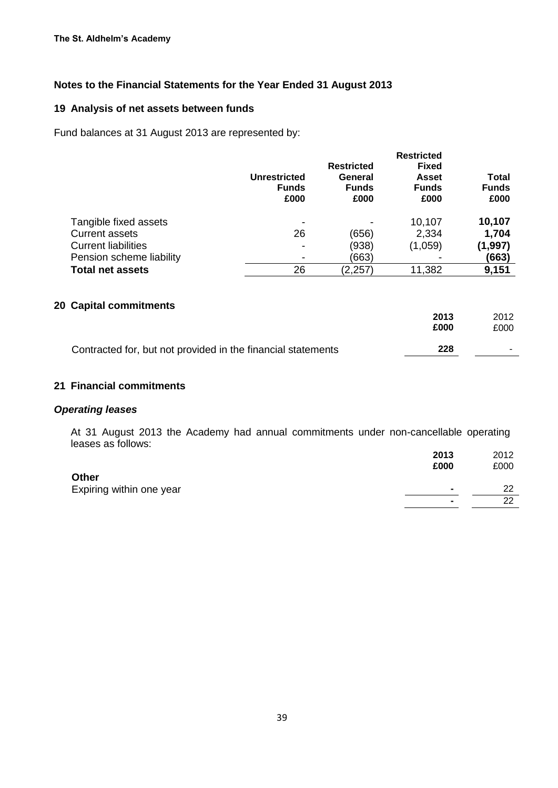#### **19 Analysis of net assets between funds**

Fund balances at 31 August 2013 are represented by:

|                            | <b>Unrestricted</b><br><b>Funds</b><br>£000 | <b>Restricted</b><br>General<br><b>Funds</b><br>£000 | <b>Restricted</b><br><b>Fixed</b><br><b>Asset</b><br><b>Funds</b><br>£000 | <b>Total</b><br><b>Funds</b><br>£000 |
|----------------------------|---------------------------------------------|------------------------------------------------------|---------------------------------------------------------------------------|--------------------------------------|
| Tangible fixed assets      |                                             |                                                      | 10,107                                                                    | 10,107                               |
| <b>Current assets</b>      | 26                                          | (656)                                                | 2,334                                                                     | 1,704                                |
| <b>Current liabilities</b> |                                             | (938)                                                | (1,059)                                                                   | (1, 997)                             |
| Pension scheme liability   |                                             | (663)                                                |                                                                           | (663)                                |
| <b>Total net assets</b>    | 26                                          | (2, 257)                                             | 11,382                                                                    | 9,151                                |

## **20 Capital commitments**

|                                                              | 2013<br>£000 | 2012<br>£000 |
|--------------------------------------------------------------|--------------|--------------|
| Contracted for, but not provided in the financial statements | 228          |              |
|                                                              |              |              |

## **21 Financial commitments**

#### *Operating leases*

At 31 August 2013 the Academy had annual commitments under non-cancellable operating leases as follows:

|                                          | 2013<br>£000             | 2012<br>£000 |
|------------------------------------------|--------------------------|--------------|
| <b>Other</b><br>Expiring within one year | $\blacksquare$           | つつ           |
|                                          | $\overline{\phantom{0}}$ | ົດ           |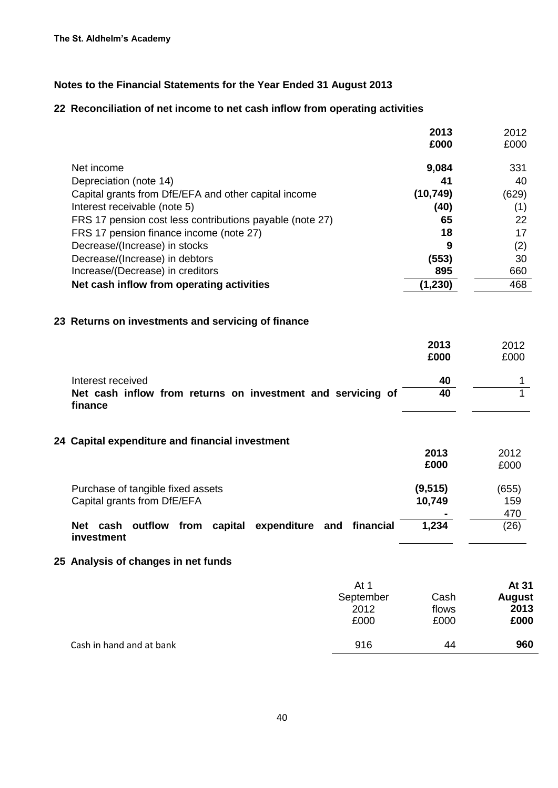## **22 Reconciliation of net income to net cash inflow from operating activities**

|                                                          | 2013      | 2012  |
|----------------------------------------------------------|-----------|-------|
|                                                          | £000      | £000  |
| Net income                                               | 9,084     | 331   |
| Depreciation (note 14)                                   | 41        | 40    |
| Capital grants from DfE/EFA and other capital income     | (10, 749) | (629) |
| Interest receivable (note 5)                             | (40)      | (1)   |
| FRS 17 pension cost less contributions payable (note 27) | 65        | 22    |
| FRS 17 pension finance income (note 27)                  | 18        | 17    |
| Decrease/(Increase) in stocks                            | 9         | (2)   |
| Decrease/(Increase) in debtors                           | (553)     | 30    |
| Increase/(Decrease) in creditors                         | 895       | 660   |
| Net cash inflow from operating activities                | (1,230)   | 468   |

## **23 Returns on investments and servicing of finance**

|                                                                        | 2013<br>£000 | 2012<br>£000  |
|------------------------------------------------------------------------|--------------|---------------|
| Interest received                                                      | 40           | 1             |
| Net cash inflow from returns on investment and servicing of<br>finance | 40           |               |
| 24 Capital expenditure and financial investment                        |              |               |
|                                                                        | 2013         | 2012          |
|                                                                        | £000         | £000          |
| Purchase of tangible fixed assets                                      | (9, 515)     | (655)         |
| Capital grants from DfE/EFA                                            | 10,749       | 159           |
|                                                                        |              | 470           |
| Net cash outflow from capital expenditure and financial<br>investment  | 1,234        | (26)          |
| 25 Analysis of changes in net funds                                    |              |               |
| At 1                                                                   |              | At 31         |
| September                                                              | Cash         | <b>August</b> |
| 2012                                                                   | flows        | 2013          |
| £000                                                                   | £000         | £000          |
| 916<br>Cash in hand and at bank                                        | 44           | 960           |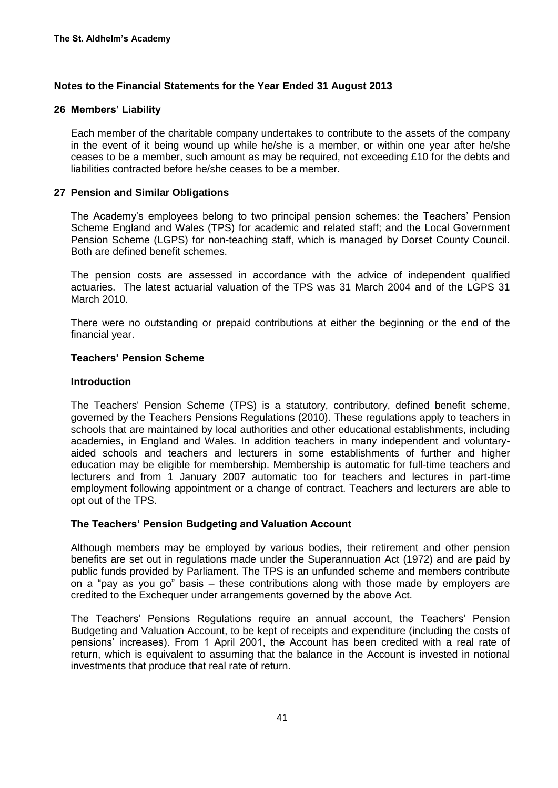#### **26 Members' Liability**

Each member of the charitable company undertakes to contribute to the assets of the company in the event of it being wound up while he/she is a member, or within one year after he/she ceases to be a member, such amount as may be required, not exceeding £10 for the debts and liabilities contracted before he/she ceases to be a member.

#### **27 Pension and Similar Obligations**

The Academy's employees belong to two principal pension schemes: the Teachers' Pension Scheme England and Wales (TPS) for academic and related staff; and the Local Government Pension Scheme (LGPS) for non-teaching staff, which is managed by Dorset County Council. Both are defined benefit schemes.

The pension costs are assessed in accordance with the advice of independent qualified actuaries. The latest actuarial valuation of the TPS was 31 March 2004 and of the LGPS 31 March 2010.

There were no outstanding or prepaid contributions at either the beginning or the end of the financial year.

#### **Teachers' Pension Scheme**

#### **Introduction**

The Teachers' Pension Scheme (TPS) is a statutory, contributory, defined benefit scheme, governed by the Teachers Pensions Regulations (2010). These regulations apply to teachers in schools that are maintained by local authorities and other educational establishments, including academies, in England and Wales. In addition teachers in many independent and voluntaryaided schools and teachers and lecturers in some establishments of further and higher education may be eligible for membership. Membership is automatic for full-time teachers and lecturers and from 1 January 2007 automatic too for teachers and lectures in part-time employment following appointment or a change of contract. Teachers and lecturers are able to opt out of the TPS.

## **The Teachers' Pension Budgeting and Valuation Account**

Although members may be employed by various bodies, their retirement and other pension benefits are set out in regulations made under the Superannuation Act (1972) and are paid by public funds provided by Parliament. The TPS is an unfunded scheme and members contribute on a "pay as you go" basis – these contributions along with those made by employers are credited to the Exchequer under arrangements governed by the above Act.

The Teachers' Pensions Regulations require an annual account, the Teachers' Pension Budgeting and Valuation Account, to be kept of receipts and expenditure (including the costs of pensions' increases). From 1 April 2001, the Account has been credited with a real rate of return, which is equivalent to assuming that the balance in the Account is invested in notional investments that produce that real rate of return.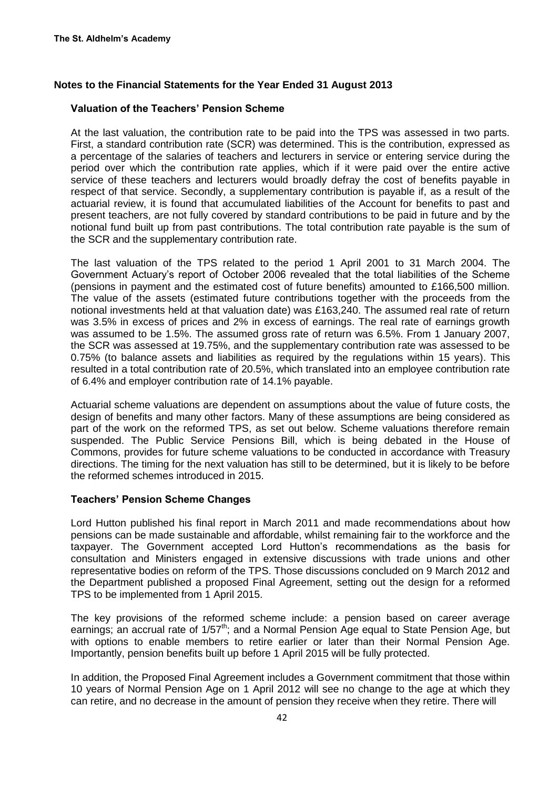#### **Valuation of the Teachers' Pension Scheme**

At the last valuation, the contribution rate to be paid into the TPS was assessed in two parts. First, a standard contribution rate (SCR) was determined. This is the contribution, expressed as a percentage of the salaries of teachers and lecturers in service or entering service during the period over which the contribution rate applies, which if it were paid over the entire active service of these teachers and lecturers would broadly defray the cost of benefits payable in respect of that service. Secondly, a supplementary contribution is payable if, as a result of the actuarial review, it is found that accumulated liabilities of the Account for benefits to past and present teachers, are not fully covered by standard contributions to be paid in future and by the notional fund built up from past contributions. The total contribution rate payable is the sum of the SCR and the supplementary contribution rate.

The last valuation of the TPS related to the period 1 April 2001 to 31 March 2004. The Government Actuary's report of October 2006 revealed that the total liabilities of the Scheme (pensions in payment and the estimated cost of future benefits) amounted to £166,500 million. The value of the assets (estimated future contributions together with the proceeds from the notional investments held at that valuation date) was £163,240. The assumed real rate of return was 3.5% in excess of prices and 2% in excess of earnings. The real rate of earnings growth was assumed to be 1.5%. The assumed gross rate of return was 6.5%. From 1 January 2007, the SCR was assessed at 19.75%, and the supplementary contribution rate was assessed to be 0.75% (to balance assets and liabilities as required by the regulations within 15 years). This resulted in a total contribution rate of 20.5%, which translated into an employee contribution rate of 6.4% and employer contribution rate of 14.1% payable.

Actuarial scheme valuations are dependent on assumptions about the value of future costs, the design of benefits and many other factors. Many of these assumptions are being considered as part of the work on the reformed TPS, as set out below. Scheme valuations therefore remain suspended. The Public Service Pensions Bill, which is being debated in the House of Commons, provides for future scheme valuations to be conducted in accordance with Treasury directions. The timing for the next valuation has still to be determined, but it is likely to be before the reformed schemes introduced in 2015.

#### **Teachers' Pension Scheme Changes**

Lord Hutton published his final report in March 2011 and made recommendations about how pensions can be made sustainable and affordable, whilst remaining fair to the workforce and the taxpayer. The Government accepted Lord Hutton's recommendations as the basis for consultation and Ministers engaged in extensive discussions with trade unions and other representative bodies on reform of the TPS. Those discussions concluded on 9 March 2012 and the Department published a proposed Final Agreement, setting out the design for a reformed TPS to be implemented from 1 April 2015.

The key provisions of the reformed scheme include: a pension based on career average earnings; an accrual rate of 1/57<sup>th</sup>; and a Normal Pension Age equal to State Pension Age, but with options to enable members to retire earlier or later than their Normal Pension Age. Importantly, pension benefits built up before 1 April 2015 will be fully protected.

In addition, the Proposed Final Agreement includes a Government commitment that those within 10 years of Normal Pension Age on 1 April 2012 will see no change to the age at which they can retire, and no decrease in the amount of pension they receive when they retire. There will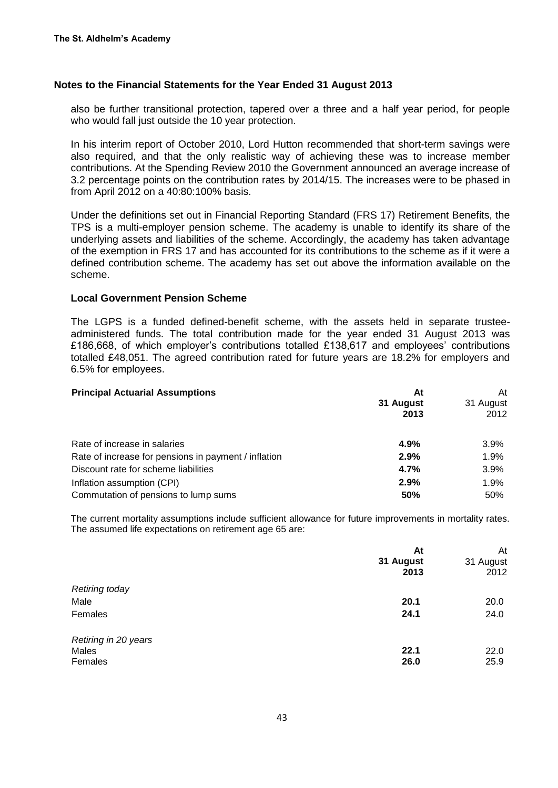also be further transitional protection, tapered over a three and a half year period, for people who would fall just outside the 10 year protection.

In his interim report of October 2010, Lord Hutton recommended that short-term savings were also required, and that the only realistic way of achieving these was to increase member contributions. At the Spending Review 2010 the Government announced an average increase of 3.2 percentage points on the contribution rates by 2014/15. The increases were to be phased in from April 2012 on a 40:80:100% basis.

Under the definitions set out in Financial Reporting Standard (FRS 17) Retirement Benefits, the TPS is a multi-employer pension scheme. The academy is unable to identify its share of the underlying assets and liabilities of the scheme. Accordingly, the academy has taken advantage of the exemption in FRS 17 and has accounted for its contributions to the scheme as if it were a defined contribution scheme. The academy has set out above the information available on the scheme.

#### **Local Government Pension Scheme**

The LGPS is a funded defined-benefit scheme, with the assets held in separate trusteeadministered funds. The total contribution made for the year ended 31 August 2013 was £186,668, of which employer's contributions totalled £138,617 and employees' contributions totalled £48,051. The agreed contribution rated for future years are 18.2% for employers and 6.5% for employees.

| <b>Principal Actuarial Assumptions</b>               | At<br>31 August<br>2013 | At<br>31 August<br>2012 |
|------------------------------------------------------|-------------------------|-------------------------|
| Rate of increase in salaries                         | 4.9%                    | 3.9%                    |
| Rate of increase for pensions in payment / inflation | 2.9%                    | 1.9%                    |
| Discount rate for scheme liabilities                 | 4.7%                    | 3.9%                    |
| Inflation assumption (CPI)                           | 2.9%                    | 1.9%                    |
| Commutation of pensions to lump sums                 | 50%                     | 50%                     |

The current mortality assumptions include sufficient allowance for future improvements in mortality rates. The assumed life expectations on retirement age 65 are:

|                       | At<br>31 August<br>2013 | At<br>31 August<br>2012 |
|-----------------------|-------------------------|-------------------------|
| <b>Retiring today</b> |                         |                         |
| Male                  | 20.1                    | 20.0                    |
| Females               | 24.1                    | 24.0                    |
| Retiring in 20 years  |                         |                         |
| Males                 | 22.1                    | 22.0                    |
| Females               | 26.0                    | 25.9                    |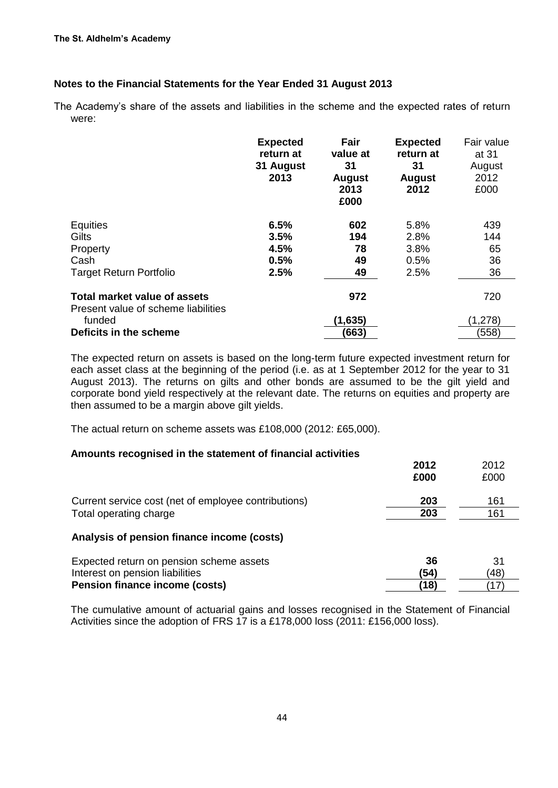The Academy's share of the assets and liabilities in the scheme and the expected rates of return were:

|                                                                            | <b>Expected</b><br>return at<br>31 August<br>2013 | Fair<br>value at<br>31<br><b>August</b><br>2013<br>£000 | <b>Expected</b><br>return at<br>31<br><b>August</b><br>2012 | Fair value<br>at 31<br>August<br>2012<br>£000 |
|----------------------------------------------------------------------------|---------------------------------------------------|---------------------------------------------------------|-------------------------------------------------------------|-----------------------------------------------|
| Equities                                                                   | 6.5%                                              | 602                                                     | 5.8%                                                        | 439                                           |
| Gilts                                                                      | 3.5%                                              | 194                                                     | 2.8%                                                        | 144                                           |
| Property                                                                   | 4.5%                                              | 78                                                      | 3.8%                                                        | 65                                            |
| Cash                                                                       | 0.5%                                              | 49                                                      | 0.5%                                                        | 36                                            |
| <b>Target Return Portfolio</b>                                             | 2.5%                                              | 49                                                      | 2.5%                                                        | 36                                            |
| <b>Total market value of assets</b><br>Present value of scheme liabilities |                                                   | 972                                                     |                                                             | 720                                           |
| funded                                                                     |                                                   | (1,635)                                                 |                                                             | (1,278)                                       |
| Deficits in the scheme                                                     |                                                   | (663)                                                   |                                                             | (558)                                         |

The expected return on assets is based on the long-term future expected investment return for each asset class at the beginning of the period (i.e. as at 1 September 2012 for the year to 31 August 2013). The returns on gilts and other bonds are assumed to be the gilt yield and corporate bond yield respectively at the relevant date. The returns on equities and property are then assumed to be a margin above gilt yields.

The actual return on scheme assets was £108,000 (2012: £65,000).

#### **Amounts recognised in the statement of financial activities**

|                                                                                | 2012<br>£000 | 2012<br>£000 |
|--------------------------------------------------------------------------------|--------------|--------------|
| Current service cost (net of employee contributions)<br>Total operating charge | 203<br>203   | 161<br>161   |
| Analysis of pension finance income (costs)                                     |              |              |
| Expected return on pension scheme assets                                       | 36           | 31           |
| Interest on pension liabilities                                                | (54)         | (48)         |
| <b>Pension finance income (costs)</b>                                          | (18)         |              |

The cumulative amount of actuarial gains and losses recognised in the Statement of Financial Activities since the adoption of FRS 17 is a £178,000 loss (2011: £156,000 loss).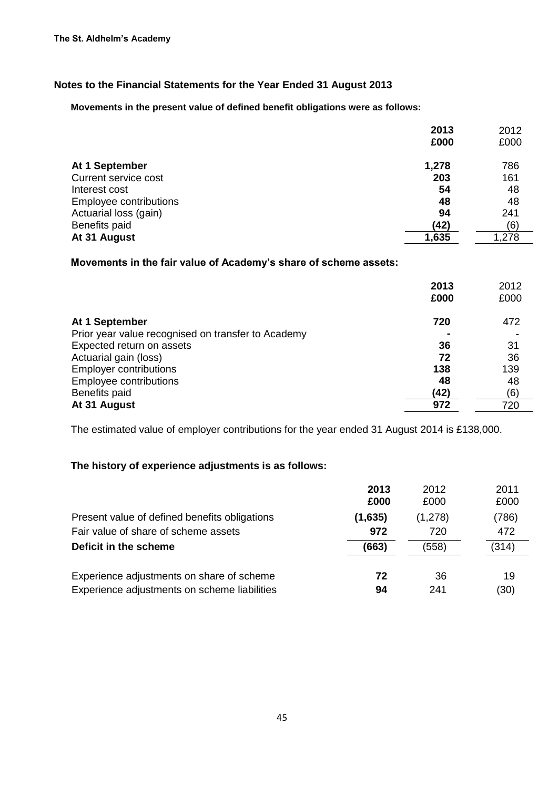**Movements in the present value of defined benefit obligations were as follows:**

|                        | 2013  | 2012  |
|------------------------|-------|-------|
|                        | £000  | £000  |
| At 1 September         | 1,278 | 786   |
| Current service cost   | 203   | 161   |
| Interest cost          | 54    | 48    |
| Employee contributions | 48    | 48    |
| Actuarial loss (gain)  | 94    | 241   |
| Benefits paid          | (42)  | (6)   |
| At 31 August           | 1,635 | 1,278 |

## **Movements in the fair value of Academy's share of scheme assets:**

|                                                    | 2013<br>£000 | 2012<br>£000 |
|----------------------------------------------------|--------------|--------------|
| At 1 September                                     | 720          | 472          |
| Prior year value recognised on transfer to Academy |              |              |
| Expected return on assets                          | 36           | 31           |
| Actuarial gain (loss)                              | 72           | 36           |
| <b>Employer contributions</b>                      | 138          | 139          |
| <b>Employee contributions</b>                      | 48           | 48           |
| Benefits paid                                      | (42)         | (6)          |
| At 31 August                                       | 972          | 720          |

The estimated value of employer contributions for the year ended 31 August 2014 is £138,000.

## **The history of experience adjustments is as follows:**

|                                                                                           | 2013<br>£000 | 2012<br>£000 | 2011<br>£000 |
|-------------------------------------------------------------------------------------------|--------------|--------------|--------------|
| Present value of defined benefits obligations                                             | (1,635)      | (1,278)      | (786)        |
| Fair value of share of scheme assets                                                      | 972          | 720          | 472          |
| Deficit in the scheme                                                                     | (663)        | (558)        | (314)        |
| Experience adjustments on share of scheme<br>Experience adjustments on scheme liabilities | 72<br>94     | 36<br>241    | 19<br>(30)   |